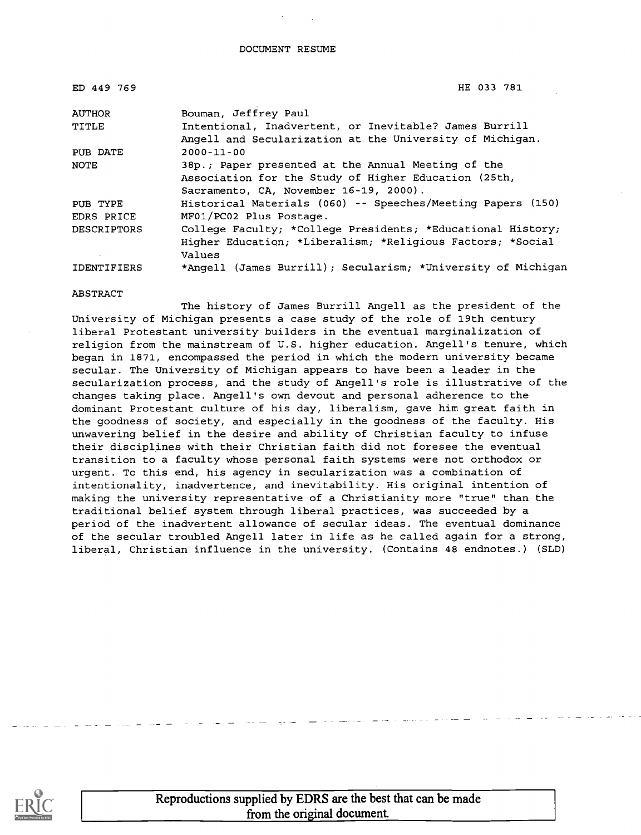| ED 449 769         | HE 033 781                                                   |
|--------------------|--------------------------------------------------------------|
| <b>AUTHOR</b>      | Bouman, Jeffrey Paul                                         |
| TITLE              | Intentional, Inadvertent, or Inevitable? James Burrill       |
|                    | Angell and Secularization at the University of Michigan.     |
| PUB DATE           | $2000 - 11 - 00$                                             |
| <b>NOTE</b>        | 38p.; Paper presented at the Annual Meeting of the           |
|                    | Association for the Study of Higher Education (25th,         |
|                    | Sacramento, CA, November 16-19, 2000).                       |
| PUB TYPE           | Historical Materials (060) -- Speeches/Meeting Papers (150)  |
| EDRS PRICE         | MF01/PC02 Plus Postage.                                      |
| <b>DESCRIPTORS</b> | College Faculty; *College Presidents; *Educational History;  |
|                    | Higher Education: *Liberalism: *Religious Factors: *Social   |
|                    | Values                                                       |
| IDENTIFIERS        | *Angell (James Burrill); Secularism; *University of Michigan |

#### ABSTRACT

The history of James Burrill Angell as the president of the University of Michigan presents a case study of the role of 19th century liberal Protestant university builders in the eventual marginalization of religion from the mainstream of U.S. higher education. Angell's tenure, which began in 1871, encompassed the period in which the modern university became secular. The University of Michigan appears to have been a leader in the secularization process, and the study of Angell's role is illustrative of the changes taking place. Angell's own devout and personal adherence to the dominant Protestant culture of his day, liberalism, gave him great faith in the goodness of society, and especially in the goodness of the faculty. His unwavering belief in the desire and ability of Christian faculty to infuse their disciplines with their Christian faith did not foresee the eventual transition to a faculty whose personal faith systems were not orthodox or urgent. To this end, his agency in secularization was a combination of intentionality, inadvertence, and inevitability. His original intention of making the university representative of a Christianity more "true" than the traditional belief system through liberal practices, was succeeded by a period of the inadvertent allowance of secular ideas. The eventual dominance of the secular troubled Angell later in life as he called again for a strong, liberal, Christian influence in the university. (Contains 48 endnotes.) (SLD)



Reproductions supplied by EDRS are the best that can be made from the original document.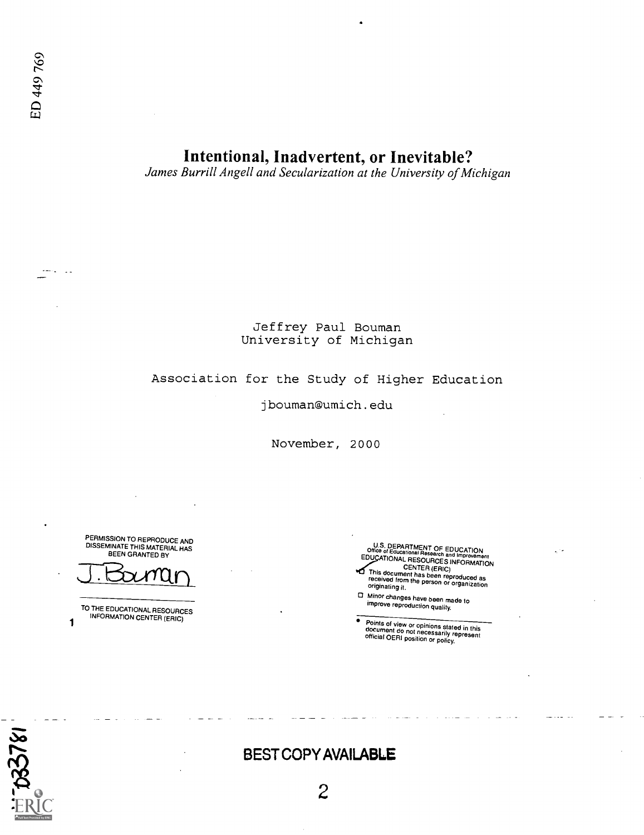$\sim$   $\sim$ 

# Intentional, Inadvertent, or Inevitable?

James Burrill Angell and Secularization at the University of Michigan

### Jeffrey Paul Bouman University of Michigan

## Association for the Study of Higher Education

#### jbouman@umich.edu

November, 2000

PERMISSION TO REPRODUCE AND DISSEMINATE THIS MATERIAL HAS BEEN GRANTED BY

TO THE EDUCATIONAL RESOURCES INFORMATION CENTER (ERIC)

 $\mathbf{1}$ 

U.S. DEPARTMENT OF Office of Educational Research EDUCATION **EDUX INTO IMPROVEMENT CENTER (ERIC)**<br>This document has been reproduced as<br>received from the person or organization<br>originating it.

Minor changes have been made to improve reproduction quality.

Points of view or opinions stated in this<br>document do not necessarily represent<br>official OERI position or policy.



# BEST COPY AVAILABLE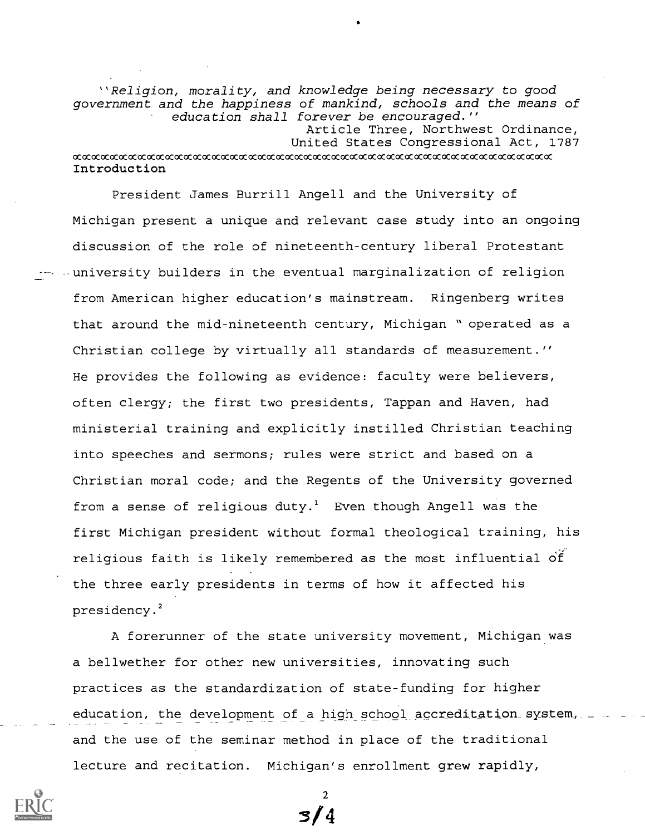"Religion, morality, and knowledge being necessary to good government and the happiness of mankind, schools and the means of education shall forever be encouraged." Article Three, Northwest Ordinance, United States Congressional Act, 1787

#### ccxaccocaccocccocococccocaccocccocccocccocococococococccocccccocccocococococococccococccaccocccoccc Introduction

President James Burrill Angell and the University of Michigan present a unique and relevant case study into an ongoing discussion of the role of nineteenth-century liberal Protestant -- -university builders in the eventual marginalization of religion from American higher education's mainstream. Ringenberg writes that around the mid-nineteenth century, Michigan " operated as a Christian college by virtually all standards of measurement." He provides the following as evidence: faculty were believers, often clergy; the first two presidents, Tappan and Haven, had ministerial training and explicitly instilled Christian teaching into speeches and sermons; rules were strict and based on a Christian moral code; and the Regents of the University governed from a sense of religious duty.<sup>1</sup> Even though Angell was the first Michigan president without formal theological training, his religious faith is likely remembered as the most influential of the three early presidents in terms of how it affected his presidency.<sup>2</sup>

A forerunner of the state university movement, Michigan was a bellwether for other new universities, innovating such practices as the standardization of state-funding for higher education, the development of a high school accreditation system, and the use of the seminar method in place of the traditional lecture and recitation. Michigan's enrollment grew rapidly,



2 3/4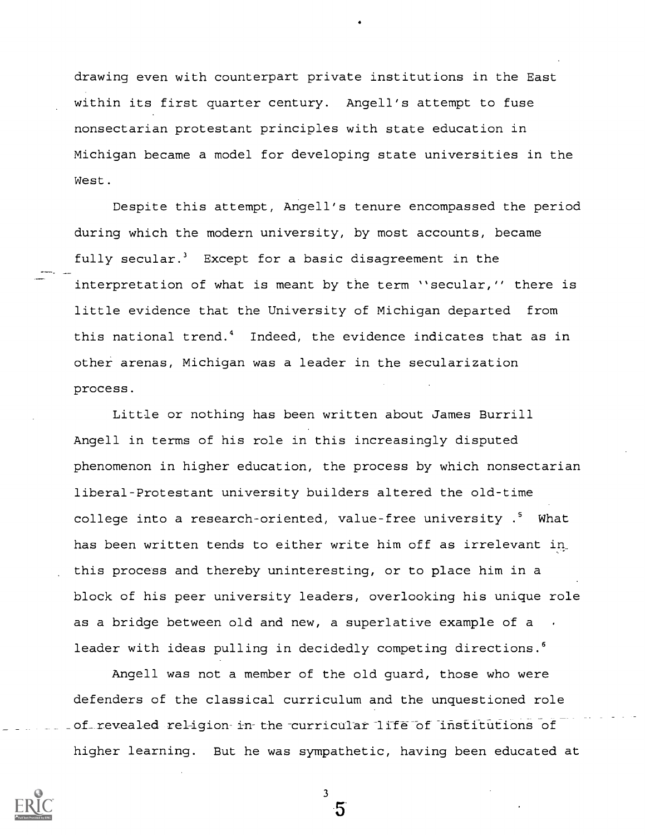drawing even with counterpart private institutions in the East within its first quarter century. Angell's attempt to fuse nonsectarian protestant principles with state education in Michigan became a model for developing state universities in the West.

Despite this attempt, Angell's tenure encompassed the period during which the modern university, by most accounts, became fully secular.<sup>3</sup> Except for a basic disagreement in the interpretation of what is meant by the term "secular," there is little evidence that the University of Michigan departed from this national trend.<sup>4</sup> Indeed, the evidence indicates that as in other arenas, Michigan was a leader in the secularization process.

Little or nothing has been written about James Burrill Angell in terms of his role in this increasingly disputed phenomenon in higher education, the process by which nonsectarian liberal-Protestant university builders altered the old-time college into a research-oriented, value-free university .<sup>5</sup> What has been written tends to either write him off as irrelevant in this process and thereby uninteresting, or to place him in a block of his peer university leaders, overlooking his unique role as a bridge between old and new, a superlative example of a leader with ideas pulling in decidedly competing directions.<sup>6</sup>

Angell was not a member of the old guard, those who were defenders of the classical curriculum and the unquestioned role of revealed religion- in the curricular life of institutions of higher learning. But he was sympathetic, having been educated at

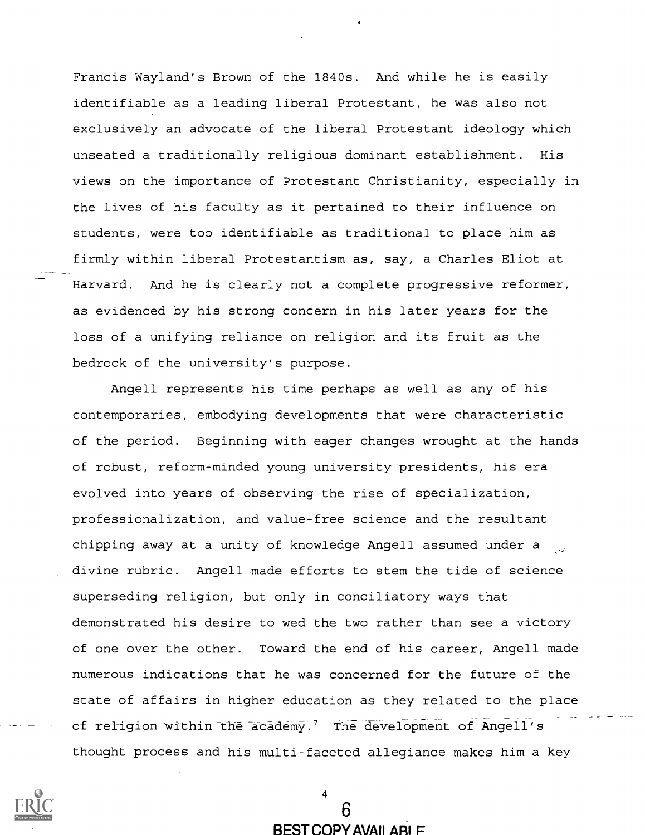Francis Wayland's Brown of the 1840s. And while he is easily identifiable as a leading liberal Protestant, he was also not exclusively an advocate of the liberal Protestant ideology which unseated a traditionally religious dominant establishment. His views on the importance of Protestant Christianity, especially in the lives of his faculty as it pertained to their influence on students, were too identifiable as traditional to place him as firmly within liberal Protestantism as, say, a Charles Eliot at Harvard. And he is clearly not a complete progressive reformer, as evidenced by his strong concern in his later years for the loss of a unifying reliance on religion and its fruit as the bedrock of the university's purpose.

Angell represents his time perhaps as well as any of his contemporaries, embodying developments that were characteristic of the period. Beginning with eager changes wrought at the hands of robust, reform-minded young university presidents, his era evolved into years of observing the rise of specialization, professionalization, and value-free science and the resultant chipping away at a unity of knowledge Angell assumed under a divine rubric. Angell made efforts to stem the tide of science superseding religion, but only in conciliatory ways that demonstrated his desire to wed the two rather than see a victory of one over the other. Toward the end of his career, Angell made numerous indications that he was concerned for the future of the state of affairs in higher education as they related to the place of religion within the academy.<sup>7</sup> The development of Angell's thought process and his multi-faceted allegiance makes him a key



4

BEST COPY AVAILABLE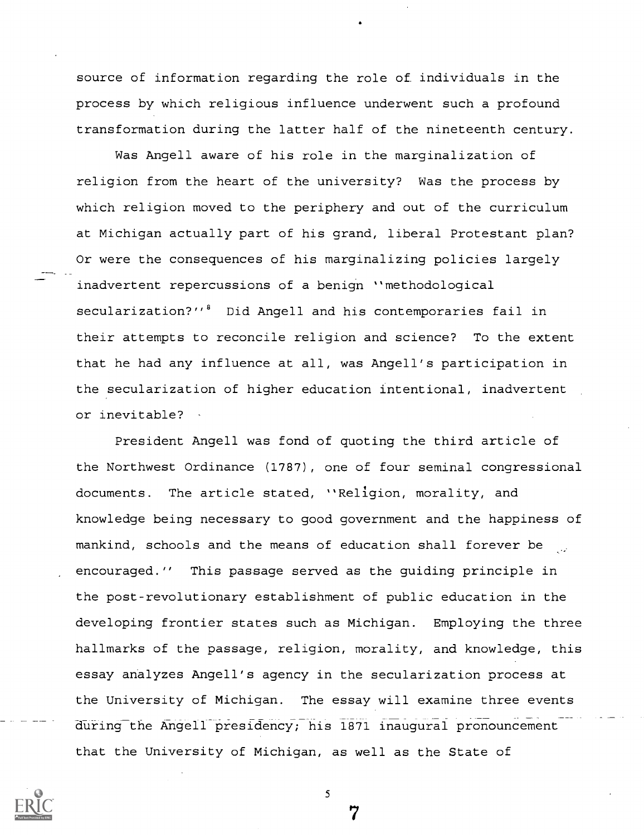source of information regarding the role of individuals in the process by which religious influence underwent such a profound transformation during the latter half of the nineteenth century.

Was Angell aware of his role in the marginalization of religion from the heart of the university? Was the process by which religion moved to the periphery and out of the curriculum at Michigan actually part of his grand, liberal Protestant plan? Or were the consequences of his marginalizing policies largely inadvertent repercussions of a benign "methodological secularization?"<sup>8</sup> Did Angell and his contemporaries fail in their attempts to reconcile religion and science? To the extent that he had any influence at all, was Angell's participation in the secularization of higher education intentional, inadvertent or inevitable?

President Angell was fond of quoting the third article of the Northwest Ordinance (1787), one of four seminal congressional documents. The article stated, "Religion, morality, and knowledge being necessary to good government and the happiness of mankind, schools and the means of education shall forever be encouraged." This passage served as the guiding principle in the post-revolutionary establishment of public education in the developing frontier states such as Michigan. Employing the three hallmarks of the passage, religion, morality, and knowledge, this essay analyzes Angell's agency in the secularization process at the University of Michigan. The essay will examine three events during the Angell presidency; his 1871 inaugural pronouncement that the University of Michigan, as well as the State of

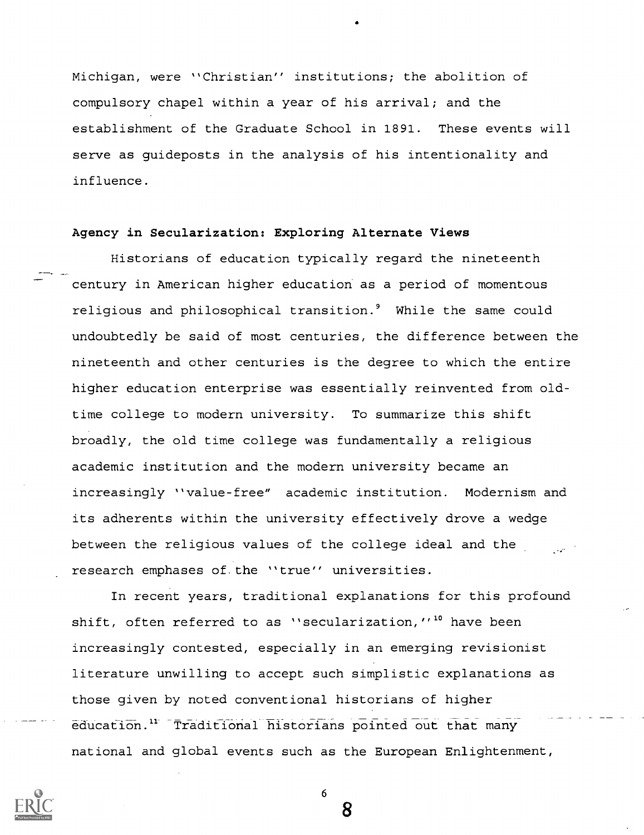Michigan, were "Christian" institutions; the abolition of compulsory chapel within a year of his arrival; and the establishment of the Graduate School in 1891. These events will serve as guideposts in the analysis of his intentionality and influence.

#### Agency in Secularization: Exploring Alternate Views

Historians of education typically regard the nineteenth century in American higher education as a period of momentous religious and philosophical transition.<sup>9</sup> While the same could undoubtedly be said of most centuries, the difference between the nineteenth and other centuries is the degree to which the entire higher education enterprise was essentially reinvented from oldtime college to modern university. To summarize this shift broadly, the old time college was fundamentally a religious academic institution and the modern university became an increasingly "value-free" academic institution. Modernism and its adherents within the university effectively drove a wedge between the religious values of the college ideal and the research emphases of. the "true" universities.

In recent years, traditional explanations for this profound shift, often referred to as "secularization,"<sup>10</sup> have been increasingly contested, especially in an emerging revisionist literature unwilling to accept such simplistic explanations as those given by noted conventional historians of higher education." Traditional historians pointed out that many national and global events such as the European Enlightenment,

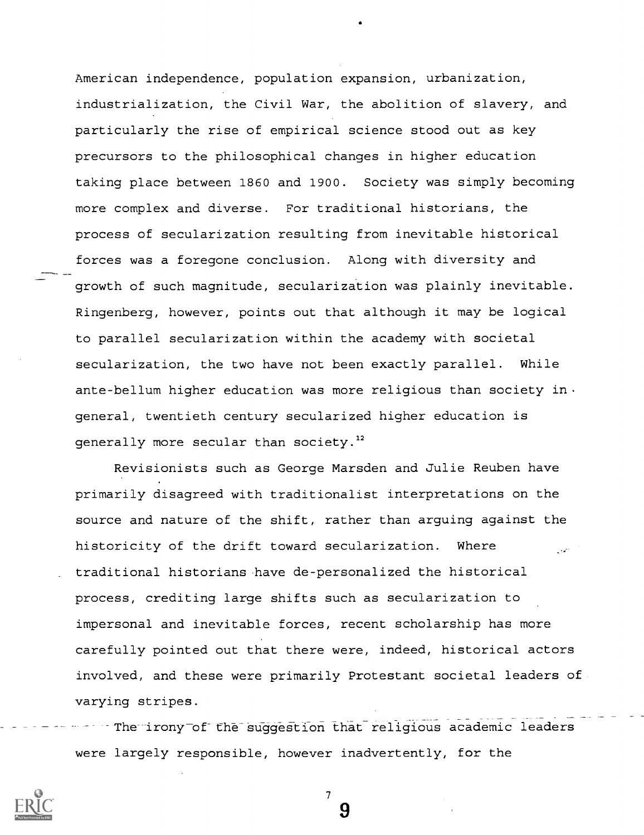American independence, population expansion, urbanization, industrialization, the Civil War, the abolition of slavery, and particularly the rise of empirical science stood out as key precursors to the philosophical changes in higher education taking place between 1860 and 1900. Society was simply becoming more complex and diverse. For traditional historians, the process of secularization resulting from inevitable historical forces was a foregone conclusion. Along with diversity and growth of such magnitude, secularization was plainly inevitable. Ringenberg, however, points out that although it may be logical to parallel secularization within the academy with societal secularization, the two have not been exactly parallel. While ante-bellum higher education was more religious than society in. general, twentieth century secularized higher education is generally more secular than society. $12$ 

Revisionists such as George Marsden and Julie Reuben have primarily disagreed with traditionalist interpretations on the source and nature of the shift, rather than arguing against the historicity of the drift toward secularization. Where traditional historians have de-personalized the historical process, crediting large shifts such as secularization to impersonal and inevitable forces, recent scholarship has more carefully pointed out that there were, indeed, historical actors involved, and these were primarily Protestant societal leaders of varying stripes.

The irony of the suggestion that religious academic leaders were largely responsible, however inadvertently, for the

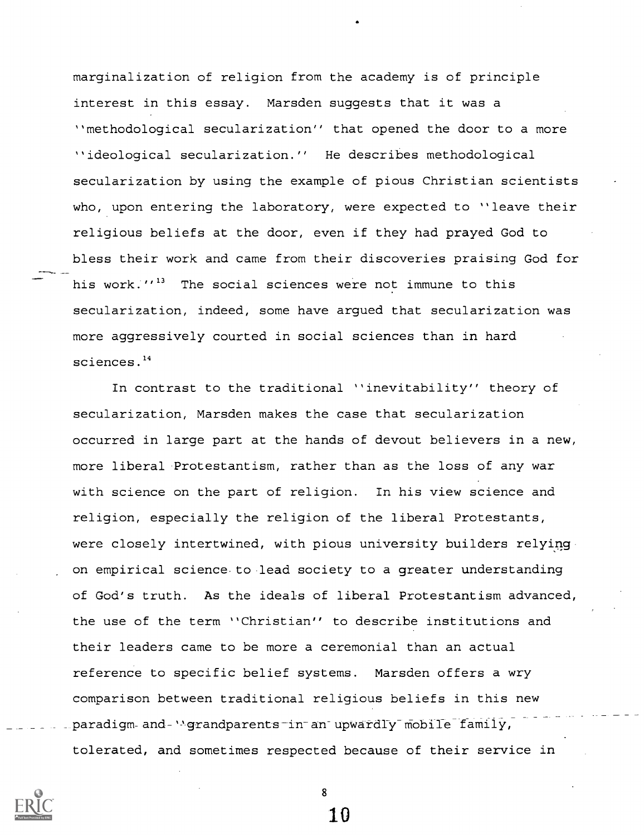marginalization of religion from the academy is of principle interest in this essay. Marsden suggests that it was a "methodological secularization" that opened the door to a more "ideological secularization." He describes methodological secularization by using the example of pious Christian scientists who, upon entering the laboratory, were expected to "leave their religious beliefs at the door, even if they had prayed God to bless their work and came from their discoveries praising God for his work."<sup>13</sup> The social sciences were not immune to this secularization, indeed, some have argued that secularization was more aggressively courted in social sciences than in hard sciences.<sup>14</sup>

In contrast to the traditional "inevitability" theory of secularization, Marsden makes the case that secularization occurred in large part at the hands of devout believers in a new, more liberal Protestantism, rather than as the loss of any war with science on the part of religion. In his view science and religion, especially the religion of the liberal Protestants, were closely intertwined, with pious university builders relying on empirical science to lead society to a greater understanding of God's truth. As the ideals of liberal Protestantism advanced, the use of the term "Christian" to describe institutions and their leaders came to be more a ceremonial than an actual reference to specific belief systems. Marsden offers a wry comparison between traditional religious beliefs in this new paradigm and "grandparents in an upwardly mobile family, tolerated, and sometimes respected because of their service in



8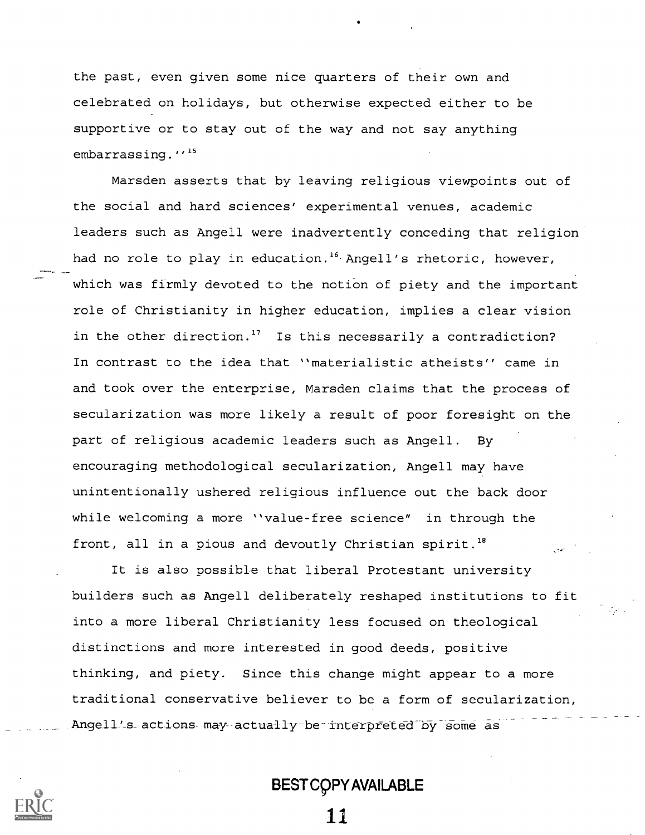the past, even given some nice quarters of their own and celebrated on holidays, but otherwise expected either to be supportive or to stay out of the way and not say anything embarrassing."<sup>15</sup>

Marsden asserts that by leaving religious viewpoints out of the social and hard sciences' experimental venues, academic leaders such as Angell were inadvertently conceding that religion had no role to play in education.<sup>16</sup> Angell's rhetoric, however, which was firmly devoted to the notion of piety and the important role of Christianity in higher education, implies a clear vision in the other direction.<sup>17</sup> Is this necessarily a contradiction? In contrast to the idea that "materialistic atheists" came in and took over the enterprise, Marsden claims that the process of secularization was more likely a result of poor foresight on the part of religious academic leaders such as Angell. By encouraging methodological secularization, Angell may have unintentionally ushered religious influence out the back door while welcoming a more "value-free science" in through the front, all in a pious and devoutly Christian spirit.<sup>18</sup>

It is also possible that liberal Protestant university builders such as Angell deliberately reshaped institutions to fit into a more liberal Christianity less focused on theological distinctions and more interested in good deeds, positive thinking, and piety. Since this change might appear to a more traditional conservative believer to be a form of secularization, Angell's actions may actually be interpreted by some as

# BEST C9PY AVAILABLE

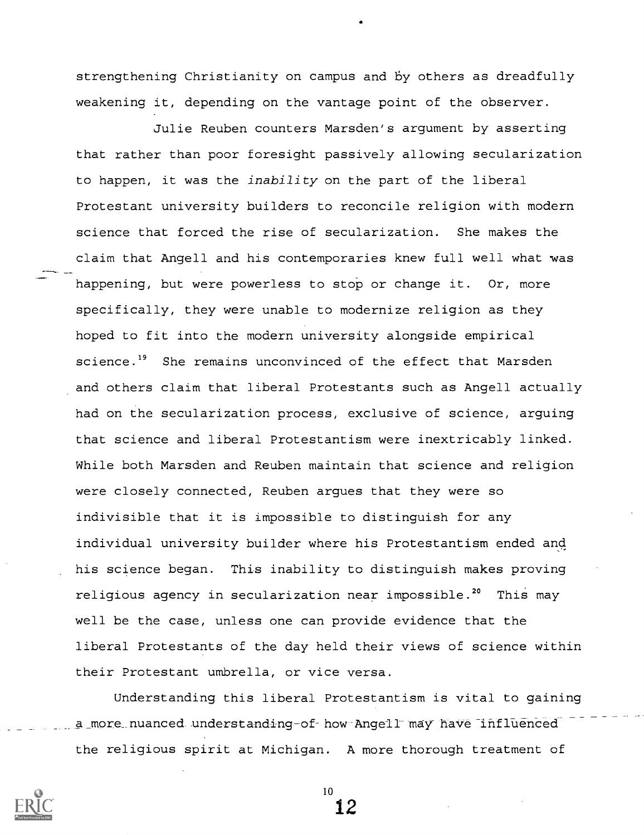strengthening Christianity on campus and by others as dreadfully weakening it, depending on the vantage point of the observer.

Julie Reuben counters Marsden's argument by asserting that rather than poor foresight passively allowing secularization to happen, it was the inability on the part of the liberal Protestant university builders to reconcile religion with modern science that forced the rise of secularization. She makes the claim that Angell and his contemporaries knew full well what was happening, but were powerless to stop or change it. Or, more specifically, they were unable to modernize religion as they hoped to fit into the modern university alongside empirical science.<sup>19</sup> She remains unconvinced of the effect that Marsden and others claim that liberal Protestants such as Angell actually had on the secularization process, exclusive of science, arguing that science and liberal Protestantism were inextricably linked. While both Marsden and Reuben maintain that science and religion were closely connected, Reuben argues that they were so indivisible that it is impossible to distinguish for any individual university builder where his Protestantism ended and his science began. This inability to distinguish makes proving religious agency in secularization near impossible.<sup>20</sup> This may well be the case, unless one can provide evidence that the liberal Protestants of the day held their views of science within their Protestant umbrella, or vice versa.

Understanding this liberal Protestantism is vital to gaining a\_more\_nuanced understanding-of-how-Angell may have influenced the religious spirit at Michigan. A more thorough treatment of

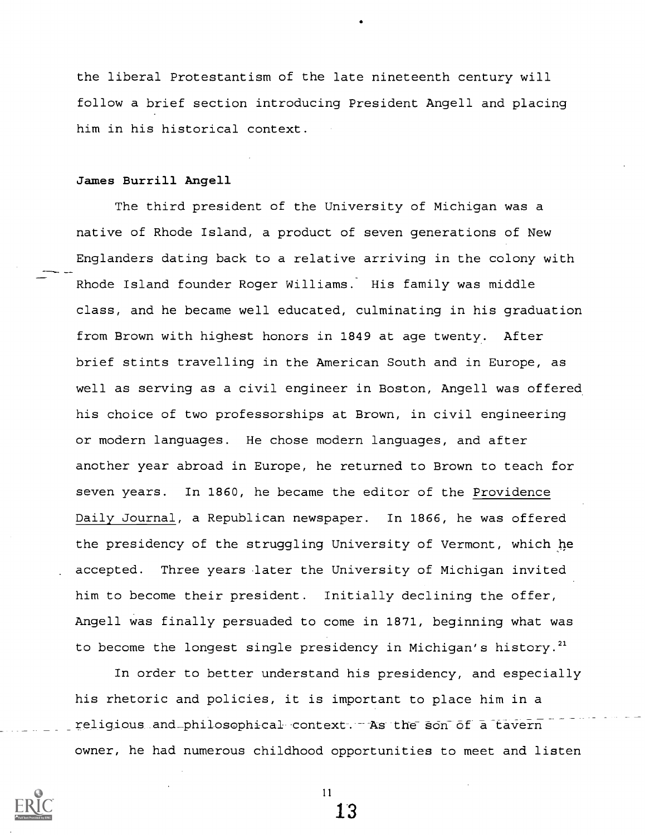the liberal Protestantism of the late nineteenth century will follow a brief section introducing President Angell and placing him in his historical context.

#### James Burrill Angell

The third president of the University of Michigan was a native of Rhode Island, a product of seven generations of New Englanders dating back to a relative arriving in the colony with Rhode Island founder Roger Williams. His family was middle class, and he became well educated, culminating in his graduation from Brown with highest honors in 1849 at age twenty. After brief stints travelling in the American South and in Europe, as well as serving as a civil engineer in Boston, Angell was offered his choice of two professorships at Brown, in civil engineering or modern languages. He chose modern languages, and after another year abroad in Europe, he returned to Brown to teach for seven years. In 1860, he became the editor of the Providence Daily Journal, a Republican newspaper. In 1866, he was offered the presidency of the struggling University of Vermont, which he accepted. Three years later the University of Michigan invited him to become their president. Initially declining the offer, Angell was finally persuaded to come in 1871, beginning what was to become the longest single presidency in Michigan's history.<sup>21</sup>

In order to better understand his presidency, and especially his rhetoric and policies, it is important to place him in a religious and\_philosophical context-.--As the son of a tavern owner, he had numerous childhood opportunities to meet and listen



11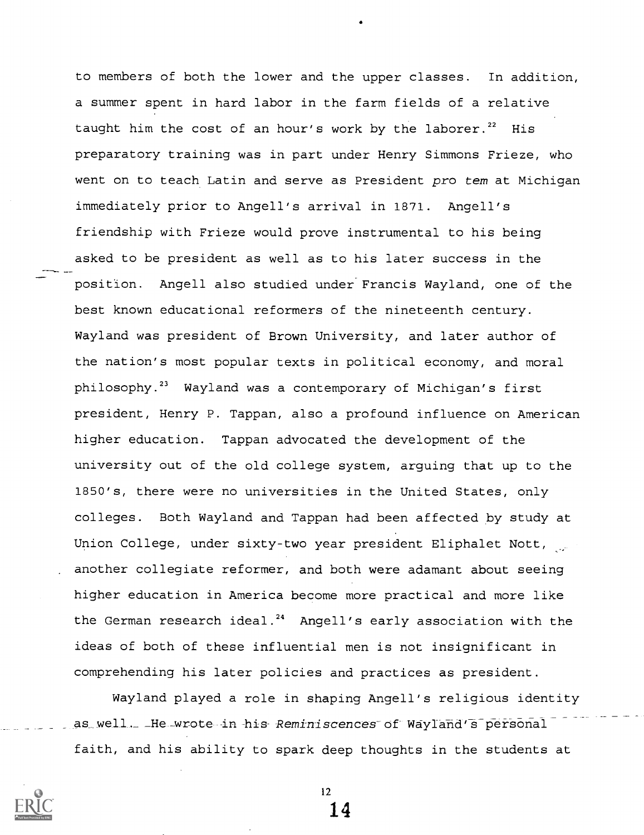to members of both the lower and the upper classes. In addition, a summer spent in hard labor in the farm fields of a relative taught him the cost of an hour's work by the laborer.<sup>22</sup> His preparatory training was in part under Henry Simmons Frieze, who went on to teach Latin and serve as President pro tem at Michigan immediately prior to Angell's arrival in 1871. Angell's friendship with Frieze would prove instrumental to his being asked to be president as well as to his later success in the position. Angell also studied under Francis Wayland, one of the best known educational reformers of the nineteenth century. Wayland was president of Brown University, and later author of the nation's most popular texts in political economy, and moral philosophy.<sup>23</sup> Wayland was a contemporary of Michigan's first president, Henry P. Tappan, also a profound influence on American higher education. Tappan advocated the development of the university out of the old college system, arguing that up to the 1850's, there were no universities in the United States, only colleges. Both Wayland and Tappan had been affected by study at Union College, under sixty-two year president Eliphalet Nott, another collegiate reformer, and both were adamant about seeing higher education in America become more practical and more like the German research ideal.<sup>24</sup> Angell's early association with the ideas of both of these influential men is not insignificant in comprehending his later policies and practices as president.

Wayland played a role in shaping Angell's religious identity as well. He wrote in his Reminiscences of Wayland's personal faith, and his ability to spark deep thoughts in the students at

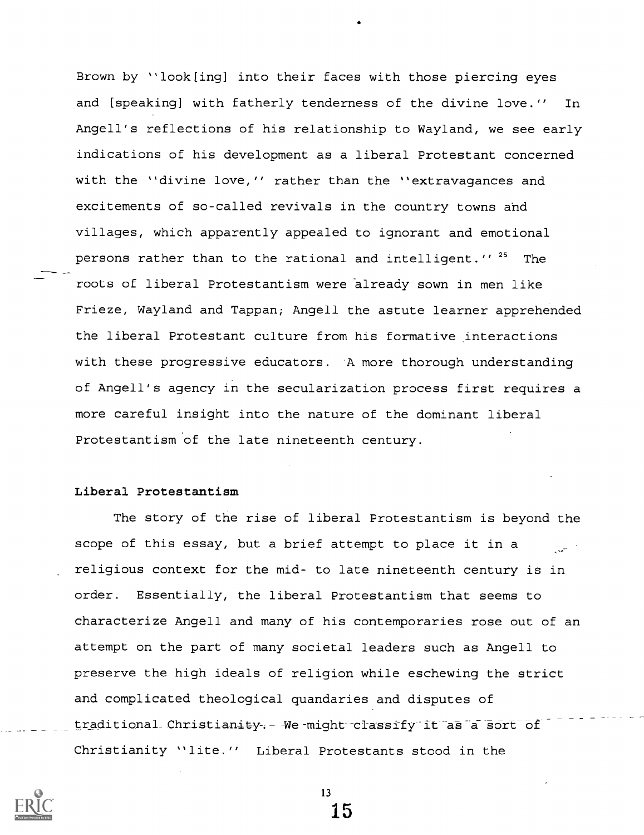Brown by "look[ing] into their faces with those piercing eyes and [speaking] with fatherly tenderness of the divine love." In Angell's reflections of his relationship to Wayland, we see early indications of his development as a liberal Protestant concerned with the "divine love," rather than the "extravagances and excitements of so-called revivals in the country towns and villages, which apparently appealed to ignorant and emotional persons rather than to the rational and intelligent."<sup>25</sup> The roots of liberal Protestantism were already sown in men like Frieze, Wayland and Tappan; Angell the astute learner apprehended the liberal Protestant culture from his formative interactions with these progressive educators. A more thorough understanding of Angell's agency in the secularization process first requires a more careful insight into the nature of the dominant liberal Protestantism of the late nineteenth century.

### Liberal Protestantism

The story of the rise of liberal Protestantism is beyond the scope of this essay, but a brief attempt to place it in a religious context for the mid- to late nineteenth century is in order. Essentially, the liberal Protestantism that seems to characterize Angell and many of his contemporaries rose out of an attempt on the part of many societal leaders such as Angell to preserve the high ideals of religion while eschewing the strict and complicated theological quandaries and disputes of traditional Christianity. - We might classify it as a sort of Christianity "lite." Liberal Protestants stood in the

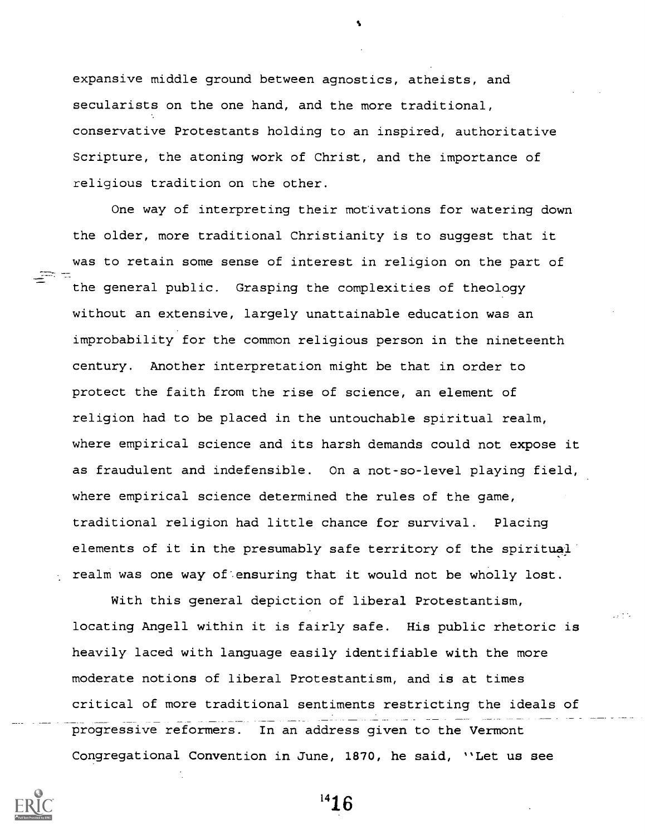expansive middle ground between agnostics, atheists, and secularists on the one hand, and the more traditional, conservative Protestants holding to an inspired, authoritative Scripture, the atoning work of Christ, and the importance of religious tradition on the other.

One way of interpreting their motivations for watering down the older, more traditional Christianity is to suggest that it was to retain some sense of interest in religion on the part of the general public. Grasping the complexities of theology without an extensive, largely unattainable education was an improbability for the common religious person in the nineteenth century. Another interpretation might be that in order to protect the faith from the rise of science, an element of religion had to be placed in the untouchable spiritual realm, where empirical science and its harsh demands could not expose it as fraudulent and indefensible. On a not-so-level playing field, where empirical science determined the rules of the game, traditional religion had little chance for survival. Placing elements of it in the presumably safe territory of the spiritual realm was one way of ensuring that it would not be wholly lost.

With this general depiction of liberal Protestantism, locating Angell within it is fairly safe. His public rhetoric is heavily laced with language easily identifiable with the more moderate notions of liberal Protestantism, and is at times critical of more traditional sentiments restricting the ideals of progressive reformers. In an address given to the Vermont Congregational Convention in June, 1870, he said, "Let us see



 $^{\prime\prime}16$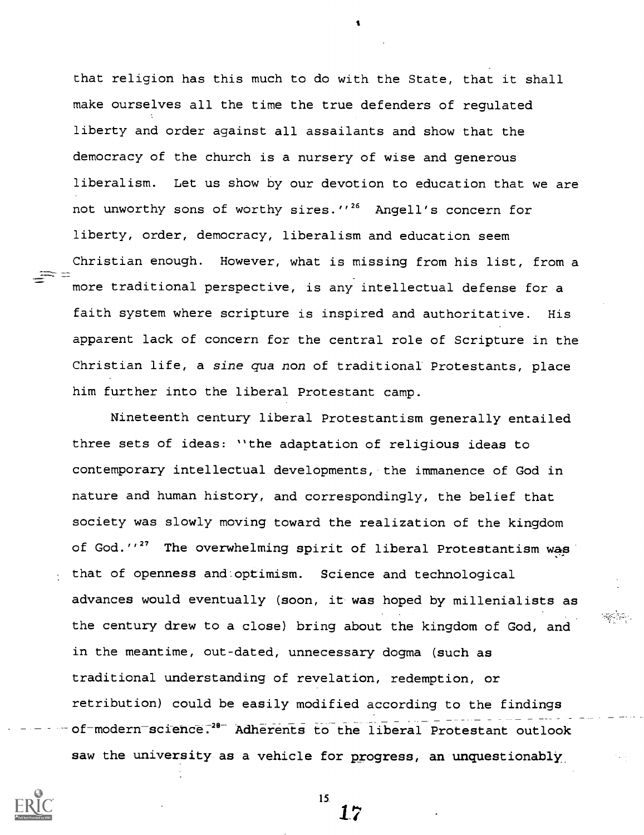that religion has this much to do with the State, that it shall make ourselves all the time the true defenders of regulated liberty and order against all assailants and show that the democracy of the church is a nursery of wise and generous liberalism. Let us show by our devotion to education that we are not unworthy sons of worthy sires."<sup>26</sup> Angell's concern for liberty, order, democracy, liberalism and education seem Christian enough. However, what is missing from his list, from a more traditional perspective, is any intellectual defense for a faith system where scripture is inspired and authoritative. His apparent lack of concern for the central role of Scripture in the Christian life, a sine qua non of traditional Protestants, place him further into the liberal Protestant camp.

Nineteenth century liberal Protestantism generally entailed three sets of ideas: "the adaptation of religious ideas to contemporary intellectual developments, the immanence of God in nature and human history, and correspondingly, the belief that society was slowly moving toward the realization of the kingdom of God."<sup>27</sup> The overwhelming spirit of liberal Protestantism was  $\sim$  that of openness and optimism. Science and technological advances would eventually (soon, it was hoped by millenialists as the century drew to a close) bring about the kingdom of God, and in the meantime, out-dated, unnecessary dogma (such as traditional understanding of revelation, redemption, or retribution) could be easily modified according to the findings of-modern science.<sup>28-</sup> Adherents to the liberal Protestant outlook saw the university as a vehicle for progress, an unquestionably



15.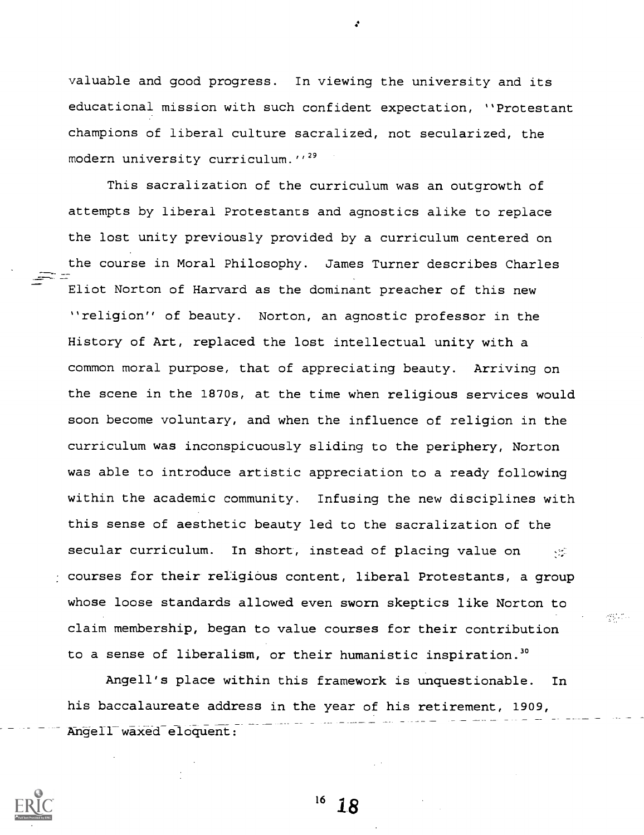valuable and good progress. In viewing the university and its educational mission with such confident expectation, "Protestant champions of liberal culture sacralized, not secularized, the modern university curriculum."<sup>29</sup>

This sacralization of the curriculum was an outgrowth of attempts by liberal Protestants and agnostics alike to replace the lost unity previously provided by a curriculum centered on the course in Moral Philosophy. James Turner describes Charles Eliot Norton of Harvard as the dominant preacher of this new "religion" of beauty. Norton, an agnostic professor in the History of Art, replaced the lost intellectual unity with a common moral purpose, that of appreciating beauty. Arriving on the scene in the 1870s, at the time when religious services would soon become voluntary, and when the influence of religion in the curriculum was inconspicuously sliding to the periphery, Norton was able to introduce artistic appreciation to a ready following within the academic community. Infusing the new disciplines with this sense of aesthetic beauty led to the sacralization of the secular curriculum. In short, instead of placing value on  $\sim$ courses for their religious content, liberal Protestants, a group whose loose standards allowed even sworn skeptics like Norton to claim membership, began to value courses for their contribution to a sense of liberalism, or their humanistic inspiration.<sup>30</sup>

Angell's place within this framework is unquestionable. In his baccalaureate address in the year of his retirement, 1909, Angell waxed eloquent:



 $16 \t18$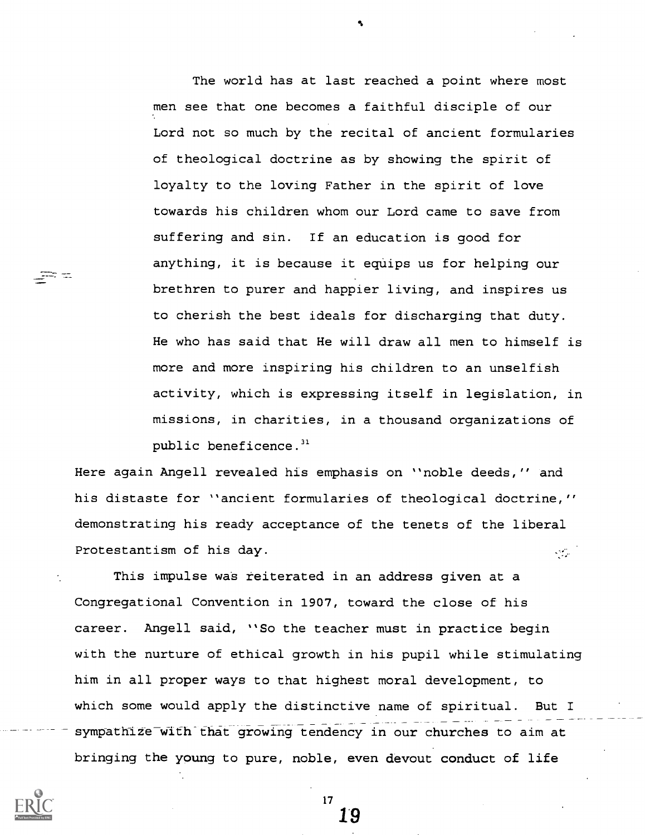The world has at last reached a point where most men see that one becomes a faithful disciple of our Lord not so much by the recital of ancient formularies of theological doctrine as by showing the spirit of loyalty to the loving Father in the spirit of love towards his children whom our Lord came to save from suffering and sin. If an education is good for anything, it is because it equips us for helping our brethren to purer and happier living, and inspires us to cherish the best ideals for discharging that duty. He who has said that He will draw all men to himself is more and more inspiring his children to an unselfish activity, which is expressing itself in legislation, in missions, in charities, in a thousand organizations of public beneficence. $i<sup>31</sup>$ 

Here again Angell revealed his emphasis on "noble deeds," and his distaste for "ancient formularies of theological doctrine," demonstrating his ready acceptance of the tenets of the liberal Protestantism of his day.  $\mathcal{L}_{\text{max}}$ 

This impulse was reiterated in an address given at a Congregational Convention in 1907, toward the close of his career. Angell said, "So the teacher must in practice begin with the nurture of ethical growth in his pupil while stimulating him in all proper ways to that highest moral development, to which some would apply the distinctive name of spiritual. But I sympathize with that growing tendency in our churches to aim at bringing the young to pure, noble, even devout conduct of life

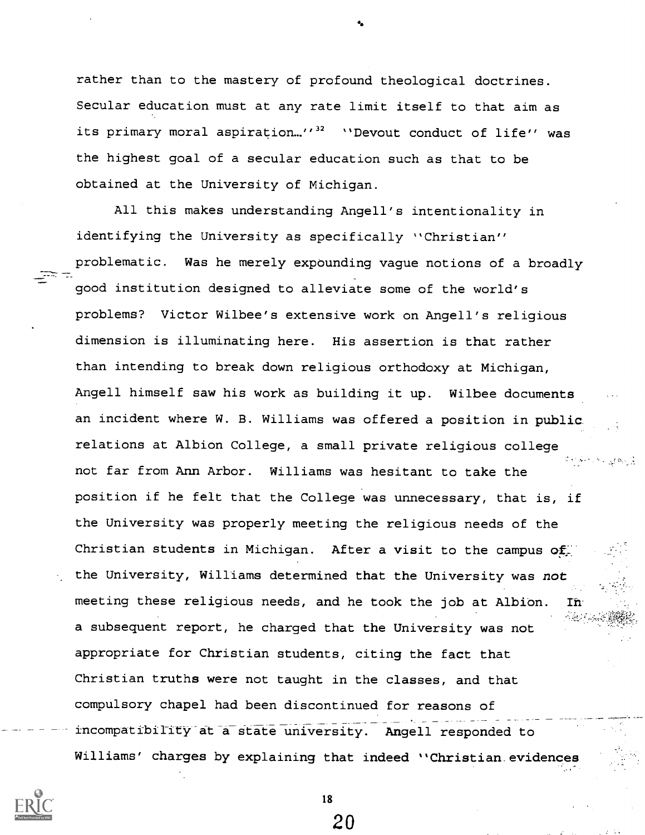rather than to the mastery of profound theological doctrines. Secular education must at any rate limit itself to that aim as its primary moral aspiration..."<sup>32</sup> "Devout conduct of life" was the highest goal of a secular education such as that to be obtained at the University of Michigan.

All this makes understanding Angell's intentionality in identifying the University as specifically "Christian" problematic. Was he merely expounding vague notions of a broadly good institution designed to alleviate some of the world's problems? Victor Wilbee's extensive work on Angell's religious dimension is illuminating here. His assertion is that rather than intending to break down religious orthodoxy at Michigan, Angell himself saw his work as building it up. Wilbee documents an incident where W. B. Williams was offered a position in public relations at Albion College, a small private religious college not far from Ann Arbor. Williams was hesitant to take the position if he felt that the College was unnecessary, that is, if the University was properly meeting the religious needs of the Christian students in Michigan. After a visit to the campus of the University, Williams determined that the University was not meeting these religious needs, and he took the job at Albion. In a subsequent report, he charged that the University was not appropriate for Christian students, citing the fact that Christian truths were not taught in the classes, and that compulsory chapel had been discontinued for reasons of incompatibility at a state university. Angell responded to Williams' charges by explaining that indeed "Christian.evidences



18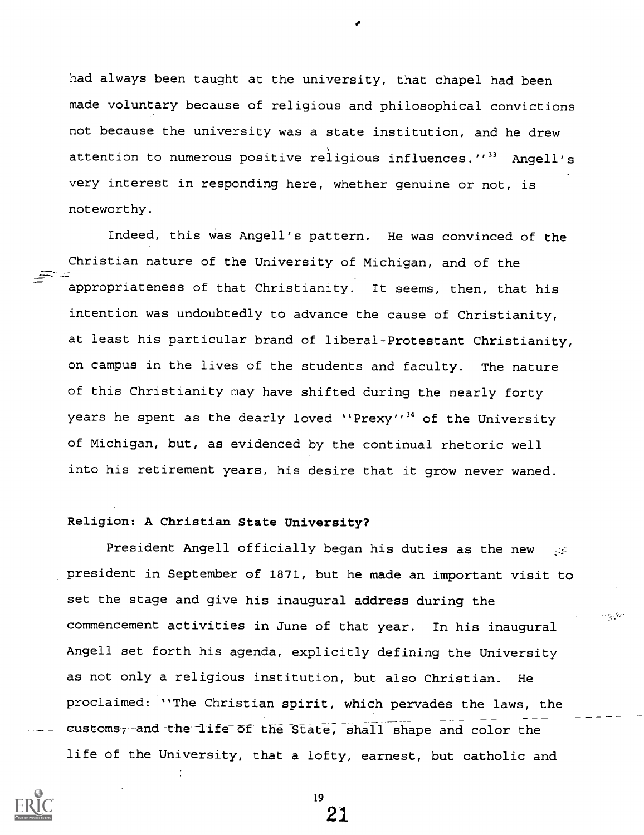had always been taught at the university, that chapel had been made voluntary because of religious and philosophical convictions not because the university was a state institution, and he drew attention to numerous positive religious influences."<sup>33</sup> Angell's very interest in responding here, whether genuine or not, is noteworthy.

Indeed, this was Angell's pattern. He was convinced of the Christian nature of the University of Michigan, and of the appropriateness of that Christianity. It seems, then, that his intention was undoubtedly to advance the cause of Christianity, at least his particular brand of liberal-Protestant Christianity, on campus in the lives of the students and faculty. The nature of this Christianity may have shifted during the nearly forty years he spent as the dearly loved "Prexy"<sup>34</sup> of the University of Michigan, but, as evidenced by the continual rhetoric well into his retirement years, his desire that it grow never waned.

#### Religion: A Christian State University?

President Angell officially began his duties as the new president in September of 1871, but he made an important visit to set the stage and give his inaugural address during the commencement activities in June of that year. In his inaugural Angell set forth his agenda, explicitly defining the University as not only a religious institution, but also Christian. He proclaimed: "The Christian spirit, which pervades the laws, the customs, and the life of the State, shall shape and color the life of the University, that a lofty, earnest, but catholic and

المؤربة مستعين

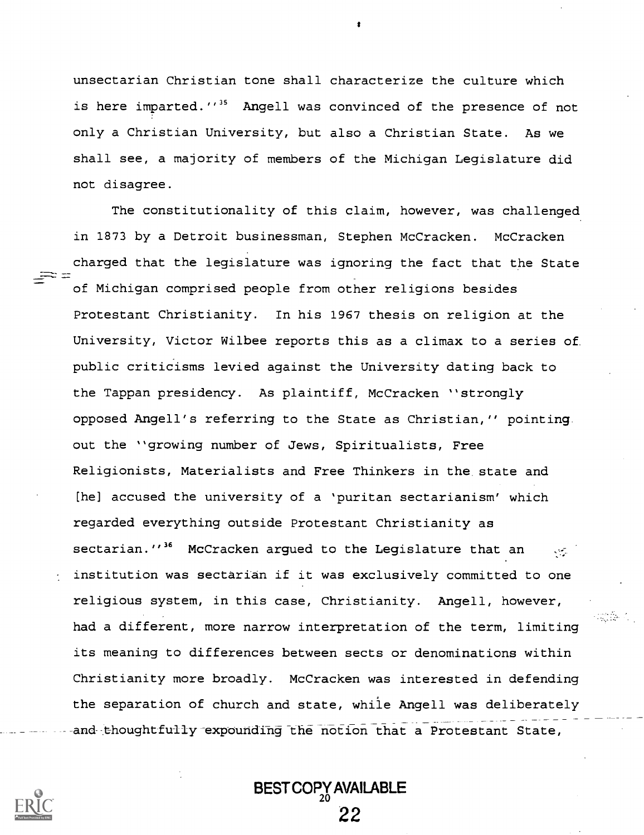unsectarian Christian tone shall characterize the culture which is here imparted.''<sup>35</sup> Angell was convinced of the presence of not only a Christian University, but also a Christian State. As we shall see, a majority of members of the Michigan Legislature did not disagree.

The constitutionality of this claim, however, was challenged in 1873 by a Detroit businessman, Stephen McCracken. McCracken charged that the legislature was ignoring the fact that the State of Michigan comprised people from other religions besides Protestant Christianity. In his 1967 thesis on religion at the University, Victor Wilbee reports this as a climax to a series of public criticisms levied against the University dating back to the Tappan presidency. As plaintiff, McCracken "strongly opposed Angell's referring to the State as Christian," pointing out the "growing number of Jews, Spiritualists, Free Religionists, Materialists and Free Thinkers in the state and [he] accused the university of a 'puritan sectarianism' which regarded everything outside Protestant Christianity as sectarian.''<sup>36</sup> McCracken argued to the Legislature that an  $\sim$ institution was sectarian if it was exclusively committed to one religious system, in this case, Christianity. Angell, however, had a different, more narrow interpretation of the term, limiting its meaning to differences between sects or denominations within Christianity more broadly. McCracken was interested in defending the separation of church and state, while Angell was deliberately and thoughtfully expounding the notion that a Protestant State,

BEST COPY AVAILABLE 22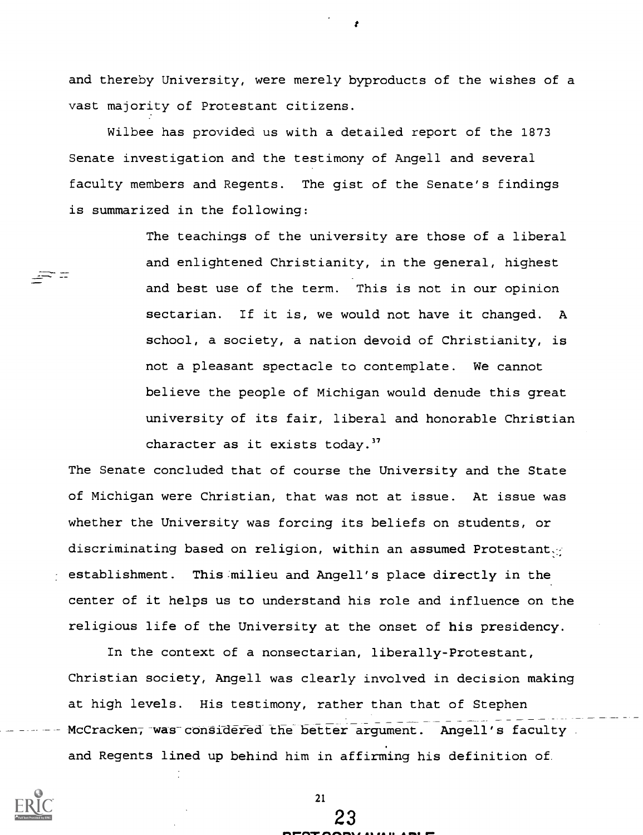and thereby University, were merely byproducts of the wishes of a vast majority of Protestant citizens.

Wilbee has provided us with a detailed report of the 1873 Senate investigation and the testimony of Angell and several faculty members and Regents. The gist of the Senate's findings is summarized in the following:

> The teachings of the university are those of a liberal and enlightened Christianity, in the general, highest and best use of the term. This is not in our opinion sectarian. If it is, we would not have it changed. A school, a society, a nation devoid of Christianity, is not a pleasant spectacle to contemplate. We cannot believe the people of Michigan would denude this great university of its fair, liberal and honorable Christian character as it exists today."

The Senate concluded that of course the University and the State of Michigan were Christian, that was not at issue. At issue was whether the University was forcing its beliefs on students, or discriminating based on religion, within an assumed Protestant. establishment. This milieu and Angell's place directly in the center of it helps us to understand his role and influence on the religious life of the University at the onset of his presidency.

In the context of a nonsectarian, liberally-Protestant, Christian society, Angell was clearly involved in decision making at high levels. His testimony, rather than that of Stephen McCracken, was considered the better argument. Angell's faculty and Regents lined up behind him in affirming his definition of.



 $\Rightarrow$   $\equiv$ 

21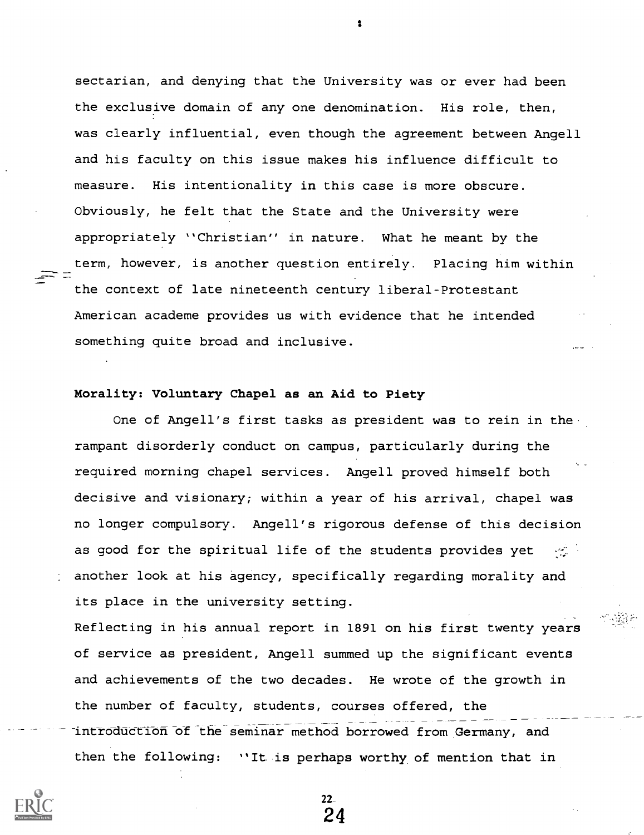sectarian, and denying that the University was or ever had been the exclusive domain of any one denomination. His role, then, was clearly influential, even though the agreement between Angell and his faculty on this issue makes his influence difficult to measure. His intentionality in this case is more obscure. Obviously, he felt that the State and the University were appropriately "Christian" in nature. What he meant by the term, however, is another question entirely. Placing him within the context of late nineteenth century liberal-Protestant American academe provides us with evidence that he intended something quite broad and inclusive.

### Morality: Voluntary Chapel as an Aid to Piety

One of Angell's first tasks as president was to rein in the rampant disorderly conduct on campus, particularly during the required morning chapel services. Angell proved himself both decisive and visionary; within a year of his arrival, chapel was no longer compulsory. Angell's rigorous defense of this decision as good for the spiritual life of the students provides yet another look at his agency, specifically regarding morality and its place in the university setting.

Reflecting in his annual report in 1891 on his first twenty years of service as president, Angell summed up the significant events and achievements of the two decades. He wrote of the growth in the number of faculty, students, courses offered, the introduction of the seminar method borrowed from Germany, and then the following: "It is perhaps worthy of mention that in

> $22-$ 24

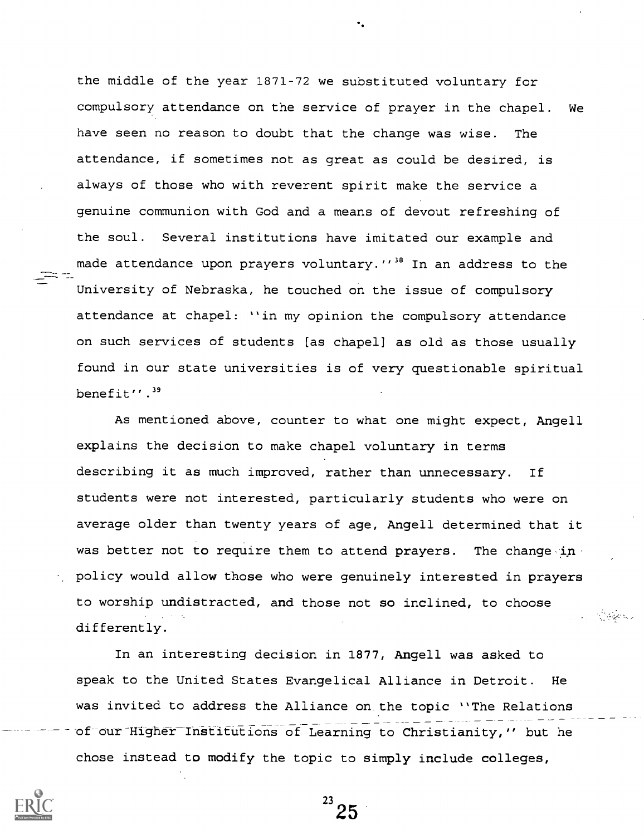made attendance upon prayers voluntary."<sup>38</sup> In an address to the the middle of the year 1871-72 we substituted voluntary for compulsory attendance on the service of prayer in the chapel. We have seen no reason to doubt that the change was wise. The attendance, if sometimes not as great as could be desired, is always of those who with reverent spirit make the service a genuine communion with God and a means of devout refreshing of the soul. Several institutions have imitated our example and University of Nebraska, he touched on the issue of compulsory attendance at chapel: "in my opinion the compulsory attendance on such services of students [as chapel] as old as those usually found in our state universities is of very questionable spiritual benefit".<sup>39</sup>

As mentioned above, counter to what one might expect, Angell explains the decision to make chapel voluntary in terms describing it as much improved, rather than unnecessary. If students were not interested, particularly students who were on average older than twenty years of age, Angell determined that it was better not to require them to attend prayers. The change-inpolicy would allow those who were genuinely interested in prayers to worship undistracted, and those not so inclined, to choose differently.

In an interesting decision in 1877, Angell was asked to speak to the United States Evangelical Alliance in Detroit. He was invited to address the Alliance on the topic "The Relations of our Higher Institutions of Learning to Christianity," but he chose instead to modify the topic to simply include colleges,



 $^{23}$  25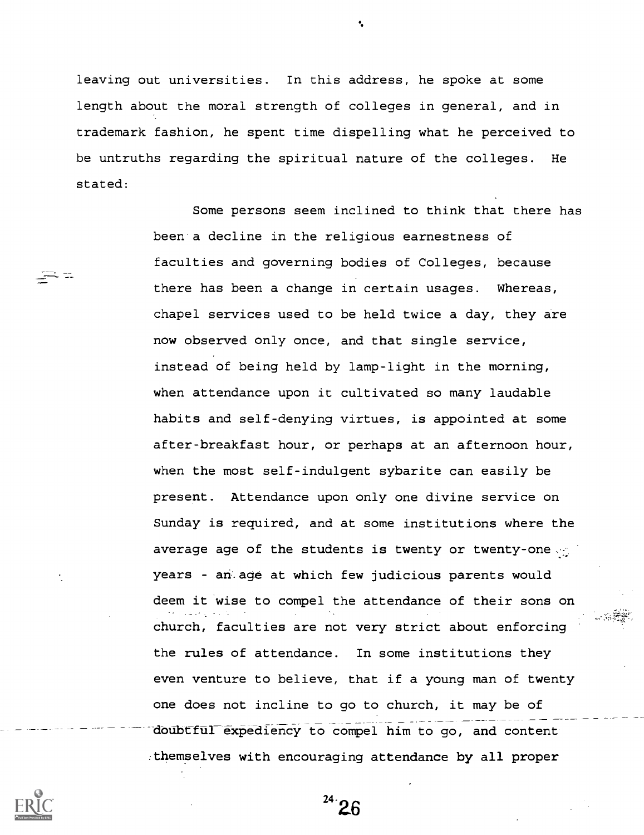leaving out universities. In this address, he spoke at some length about the moral strength of colleges in general, and in trademark fashion, he spent time dispelling what he perceived to be untruths regarding the spiritual nature of the colleges. He stated:

> Some persons seem inclined to think that there has been a decline in the religious earnestness of faculties and governing bodies of Colleges, because there has been a change in certain usages. Whereas, chapel services used to be held twice a day, they are now observed only once, and that single service, instead of being held by lamp-light in the morning, when attendance upon it cultivated so many laudable habits and self-denying virtues, is appointed at some after-breakfast hour, or perhaps at an afternoon hour, when the most self-indulgent sybarite can easily be present. Attendance upon only one divine service on Sunday is required, and at some institutions where the average age of the students is twenty or twenty-one years - an. age at which few judicious parents would deem it wise to compel the attendance of their sons on church, faculties are not very strict about enforcing the rules of attendance. In some institutions they even venture to believe, that if a young man of twenty one does not incline to go to church, it may be of doubtful expediency to compel him to go, and content :themselves with encouraging attendance by all proper



24. $\Omega$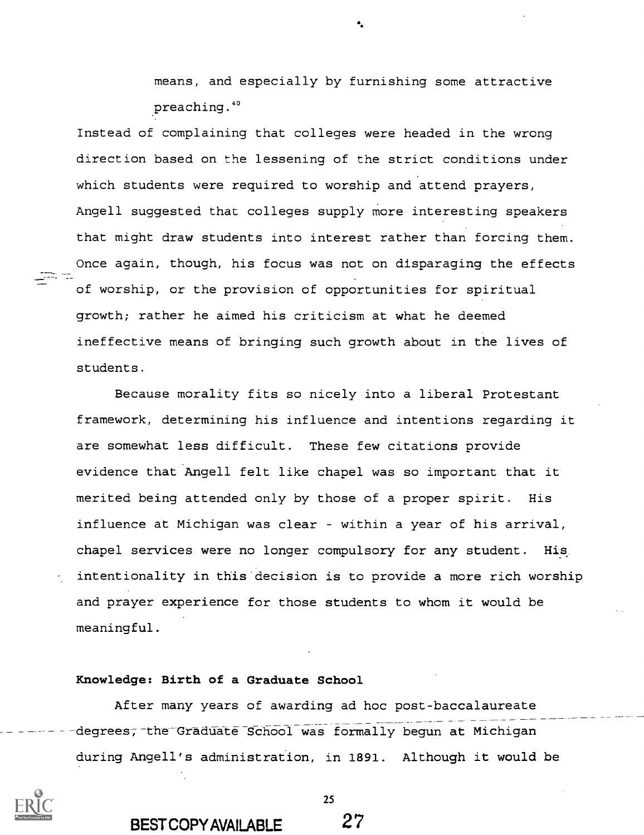means, and especially by furnishing some attractive preaching. <sup>40</sup>

Instead of complaining that colleges were headed in the wrong direction based on the lessening of the strict conditions under which students were required to worship and attend prayers, Angell suggested that colleges supply more interesting speakers that might draw students into interest rather than forcing them. Once again, though, his focus was not on disparaging the effects of worship, or the provision of opportunities for spiritual growth; rather he aimed his criticism at what he deemed ineffective means of bringing such growth about in the lives of students.

Because morality fits so nicely into a liberal Protestant framework, determining his influence and intentions regarding it are somewhat less difficult. These few citations provide evidence that Angell felt like chapel was so important that it merited being attended only by those of a proper spirit. His influence at Michigan was clear - within a year of his arrival, chapel services were no longer compulsory for any student. His intentionality in this decision is to provide a more rich worship and prayer experience for those students to whom it would be meaningful.

#### Knowledge: Birth of a Graduate School

After many years of awarding ad hoc post-baccalaureate degrees, the Graduate School was formally begun at Michigan during Angell's administration, in 1891. Although it would be



BEST COPY AVAILABLE 27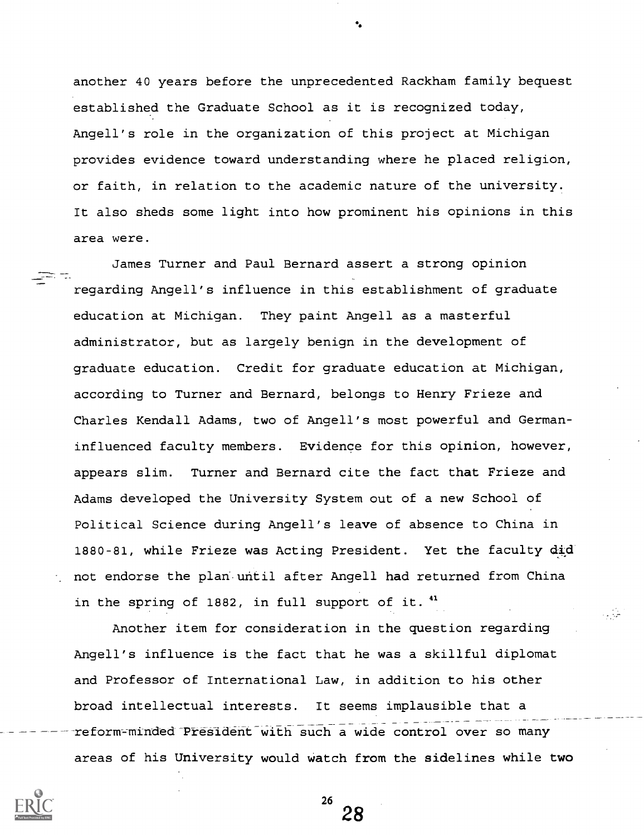another 40 years before the unprecedented Rackham family bequest established the Graduate School as it is recognized today, Angell's role in the organization of this project at Michigan provides evidence toward understanding where he placed religion, or faith, in relation to the academic nature of the university. It also sheds some light into how prominent his opinions in this area were.

James Turner and Paul Bernard assert a strong opinion regarding Angell's influence in this establishment of graduate education at Michigan. They paint Angell as a masterful administrator, but as largely benign in the development of graduate education. Credit for graduate education at Michigan, according to Turner and Bernard, belongs to Henry Frieze and Charles Kendall Adams, two of Angell's most powerful and Germaninfluenced faculty members. Evidence for this opinion, however, appears slim. Turner and Bernard cite the fact that Frieze and Adams developed the University System out of a new School of Political Science during Angell's leave of absence to China in 1880-81, while Frieze was Acting President. Yet the faculty did not endorse the plan. until after Angell had returned from China in the spring of 1882, in full support of it.<sup>41</sup>

Another item for consideration in the question regarding Angell's influence is the fact that he was a skillful diplomat and Professor of International Law, in addition to his other broad intellectual interests. It seems implausible that a reform-minded President with such a wide control over so many areas of his University would watch from the sidelines while two

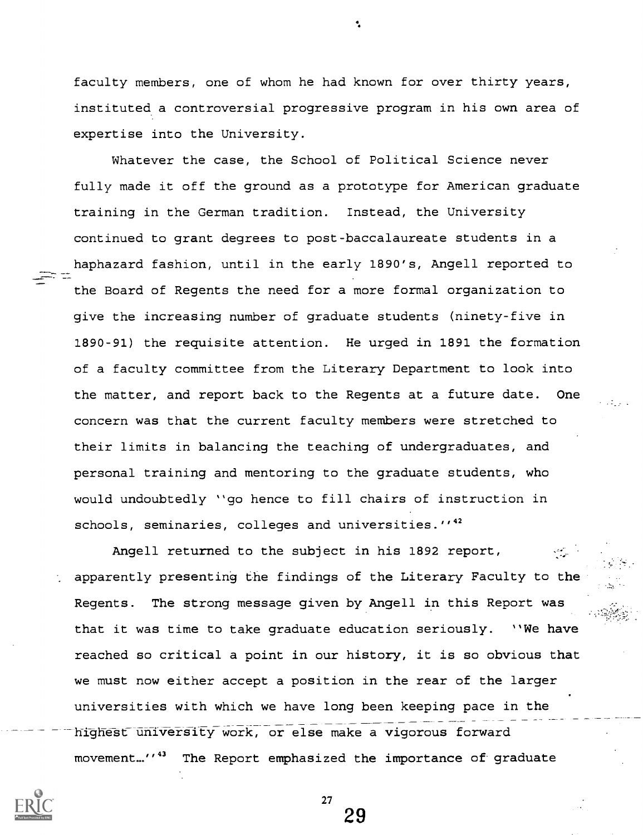faculty members, one of whom he had known for over thirty years, instituted a controversial progressive program in his own area of expertise into the University.

Whatever the case, the School of Political Science never fully made it off the ground as a prototype for American graduate training in the German tradition. Instead, the University continued to grant degrees to post-baccalaureate students in a haphazard fashion, until in the early 1890's, Angell reported to the Board of Regents the need for a more formal organization to give the increasing number of graduate students (ninety-five in 1890-91) the requisite attention. He urged in 1891 the formation of a faculty committee from the Literary Department to look into the matter, and report back to the Regents at a future date. One concern was that the current faculty members were stretched to their limits in balancing the teaching of undergraduates, and personal training and mentoring to the graduate students, who would undoubtedly "go hence to fill chairs of instruction in schools, seminaries, colleges and universities."<sup>42</sup>

Angell returned to the subject in his 1892 report, apparently presenting the findings of the Literary Faculty to the Regents. The strong message given by Angell in this Report was that it was time to take graduate education seriously. "We have reached so critical a point in our history, it is so obvious that we must now either accept a position in the rear of the larger universities with which we have long been keeping pace in the highest university work, or else make a vigorous forward movement..."<sup>43</sup> The Report emphasized the importance of graduate

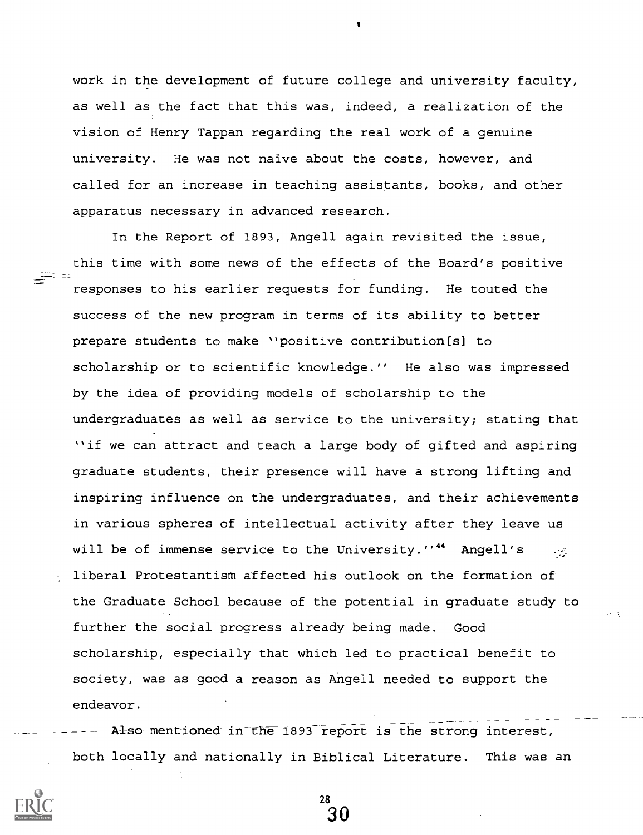work in the development of future college and university faculty, as well as the fact that this was, indeed, a realization of the vision of Henry Tappan regarding the real work of a genuine university. He was not naive about the costs, however, and called for an increase in teaching assistants, books, and other apparatus necessary in advanced research.

In the Report of 1893, Angell again revisited the issue, this time with some news of the effects of the Board's positive responses to his earlier requests for funding. He touted the success of the new program in terms of its ability to better prepare students to make "positive contribution[s] to scholarship or to scientific knowledge." He also was impressed by the idea of providing models of scholarship to the undergraduates as well as service to the university; stating that "if we can attract and teach a large body of gifted and aspiring graduate students, their presence will have a strong lifting and inspiring influence on the undergraduates, and their achievements in various spheres of intellectual activity after they leave us will be of immense service to the University."<sup>44</sup> Angell's  $\sim$ liberal Protestantism affected his outlook on the formation of the Graduate School because of the potential in graduate study to further the social progress already being made. Good scholarship, especially that which led to practical benefit to society, was as good a reason as Angell needed to support the endeavor.

Also mentioned in the 1893 report is the strong interest, both locally and nationally in Biblical Literature. This was an

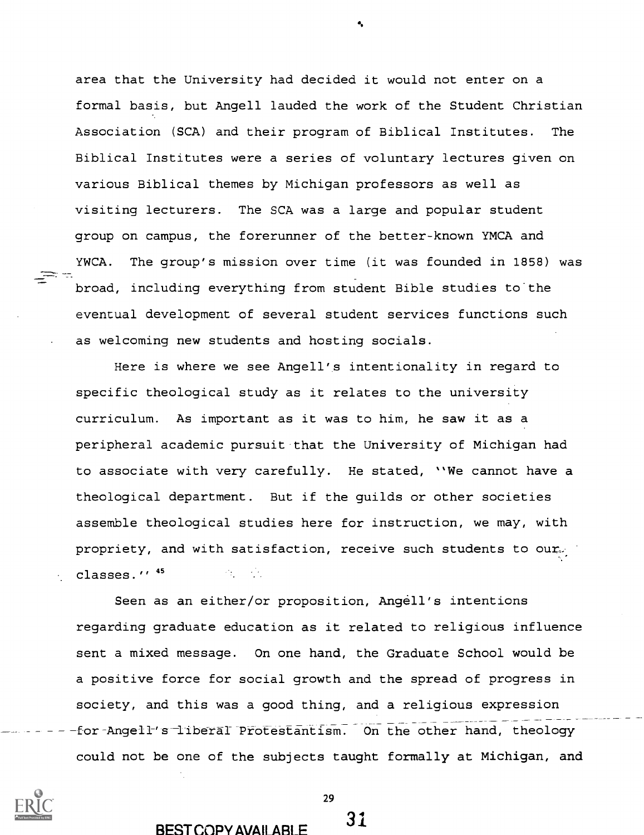area that the University had decided it would not enter on a formal basis, but Angell lauded the work of the Student Christian Association (SCA) and their program of Biblical Institutes. The Biblical Institutes were a series of voluntary lectures given on various Biblical themes by Michigan professors as well as visiting lecturers. The SCA was a large and popular student group on campus, the forerunner of the better-known YMCA and YWCA. The group's mission over time (it was founded in 1858) was broad, including everything from student Bible studies to the eventual development of several student services functions such as welcoming new students and hosting socials.

Here is where we see Angell's intentionality in regard to specific theological study as it relates to the university curriculum. As important as it was to him, he saw it as a peripheral academic pursuit that the University of Michigan had to associate with very carefully. He stated, "We cannot have a theological department. But if the guilds or other societies assemble theological studies here for instruction, we may, with propriety, and with satisfaction, receive such students to ourclasses."<sup>45</sup>

Seen as an either/or proposition, Angell's intentions regarding graduate education as it related to religious influence sent a mixed message. On one hand, the Graduate School would be a positive force for social growth and the spread of progress in society, and this was a good thing, and a religious expression for-Angell's liberal Protestantism. On the other hand, theology could not be one of the subjects taught formally at Michigan, and



29

# BEST COPY AVAILABLE 31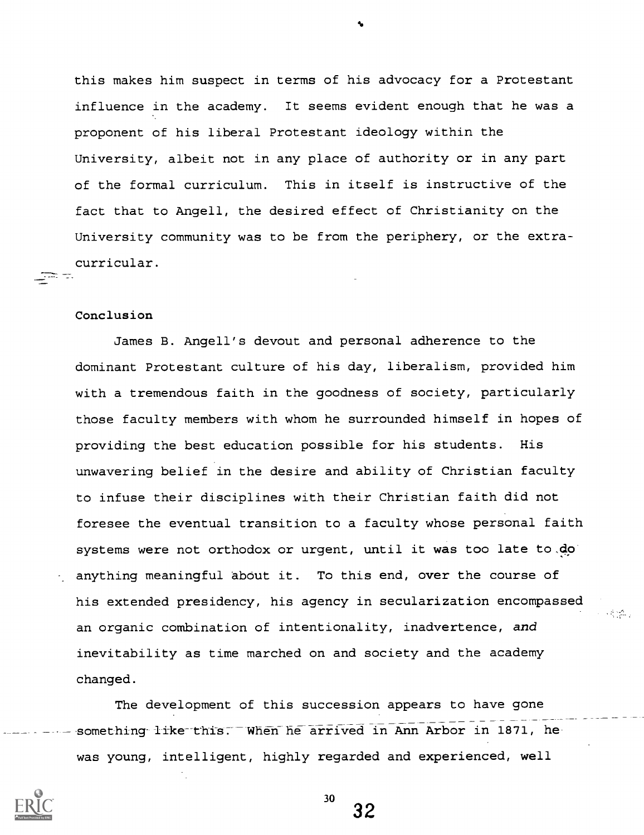this makes him suspect in terms of his advocacy for a Protestant influence in the academy. It seems evident enough that he was a proponent of his liberal Protestant ideology within the University, albeit not in any place of authority or in any part of the formal curriculum. This in itself is instructive of the fact that to Angell, the desired effect of Christianity on the University community was to be from the periphery, or the extracurricular.

#### Conclusion

gar e.

James B. Angell's devout and personal adherence to the dominant Protestant culture of his day, liberalism, provided him with a tremendous faith in the goodness of society, particularly those faculty members with whom he surrounded himself in hopes of providing the best education possible for his students. His unwavering belief in the desire and ability of Christian faculty to infuse their disciplines with their Christian faith did not foresee the eventual transition to a faculty whose personal faith systems were not orthodox or urgent, until it was too late to,do anything meaningful about it. To this end, over the course of his extended presidency, his agency in secularization encompassed an organic combination of intentionality, inadvertence, and inevitability as time marched on and society and the academy changed.

**人名马克** 

The development of this succession appears to have gone something like this. When he arrived in Ann Arbor in 1871, he was young, intelligent, highly regarded and experienced, well



30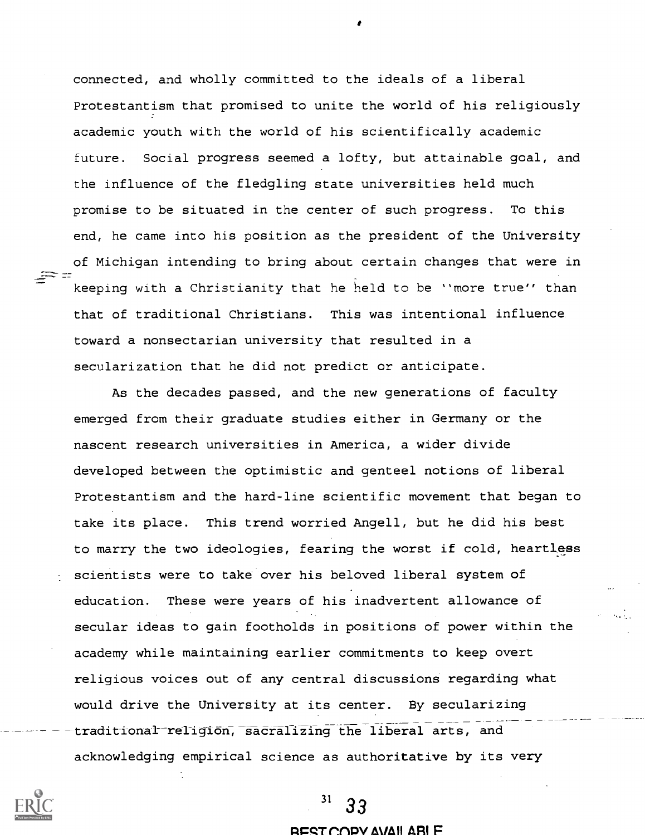connected, and wholly committed to the ideals of a liberal Protestantism that promised to unite the world of his religiously academic youth with the world of his scientifically academic future. Social progress seemed a lofty, but attainable goal, and the influence of the fledgling state universities held much promise to be situated in the center of such progress. To this end, he came into his position as the president of the University of Michigan intending to bring about certain changes that were in keeping with a Christianity that he held to be "more true" than that of traditional Christians. This was intentional influence toward a nonsectarian university that resulted in a secularization that he did not predict or anticipate.

As the decades passed, and the new generations of faculty emerged from their graduate studies either in Germany or the nascent research universities in America, a wider divide developed between the optimistic and genteel notions of liberal Protestantism and the hard-line scientific movement that began to take its place. This trend worried Angell, but he did his best to marry the two ideologies, fearing the worst if cold, heartless scientists were to take over his beloved liberal system of education. These were years of his inadvertent allowance of secular ideas to gain footholds in positions of power within the academy while maintaining earlier commitments to keep overt religious voices out of any central discussions regarding what would drive the University at its center. By secularizing traditional religion, sacralizing the liberal arts, and acknowledging empirical science as authoritative by its very



# 33

#### REST.COPY AVAII ABLE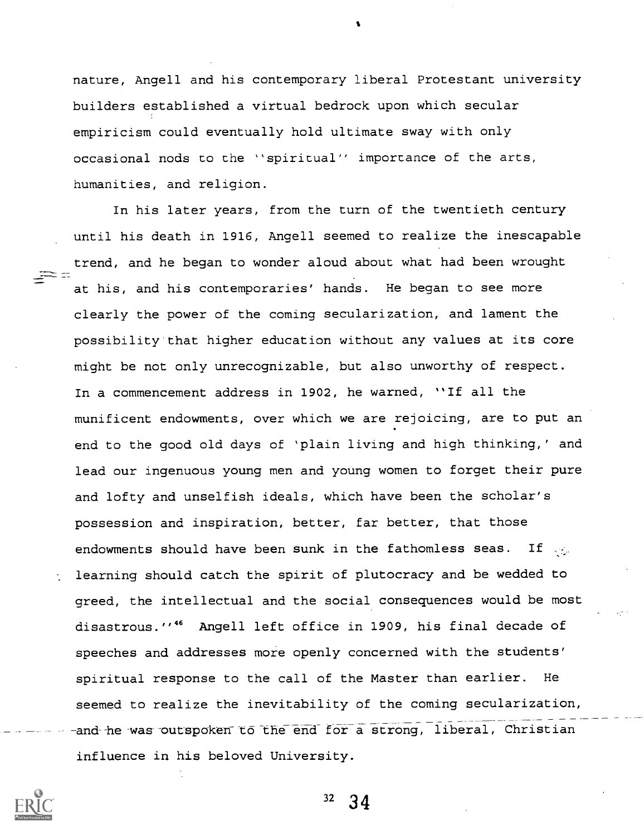nature, Angell and his contemporary liberal Protestant university builders established a virtual bedrock upon which secular empiricism could eventually hold ultimate sway with only occasional nods to the "spiritual" importance of the arts, humanities, and religion.

In his later years, from the turn of the twentieth century until his death in 1916, Angell seemed to realize the inescapable trend, and he began to wonder aloud about what had been wrought at his, and his contemporaries' hands. He began to see more clearly the power of the coming secularization, and lament the possibility that higher education without any values at its core might be not only unrecognizable, but also unworthy of respect. In a commencement address in 1902, he warned, "If all the munificent endowments, over which we are rejoicing, are to put an end to the good old days of 'plain living and high thinking,' and lead our ingenuous young men and young women to forget their pure and lofty and unselfish ideals, which have been the scholar's possession and inspiration, better, far better, that those endowments should have been sunk in the fathomless seas. If  $\mathbb{Q}_2$ learning should catch the spirit of plutocracy and be wedded to greed, the intellectual and the social consequences would be most disastrous."<sup>46</sup> Angell left office in 1909, his final decade of speeches and addresses more openly concerned with the students' spiritual response to the call of the Master than earlier. He seemed to realize the inevitability of the coming secularization, and he was outspoken to the end for a strong, liberal, Christian influence in his beloved University.

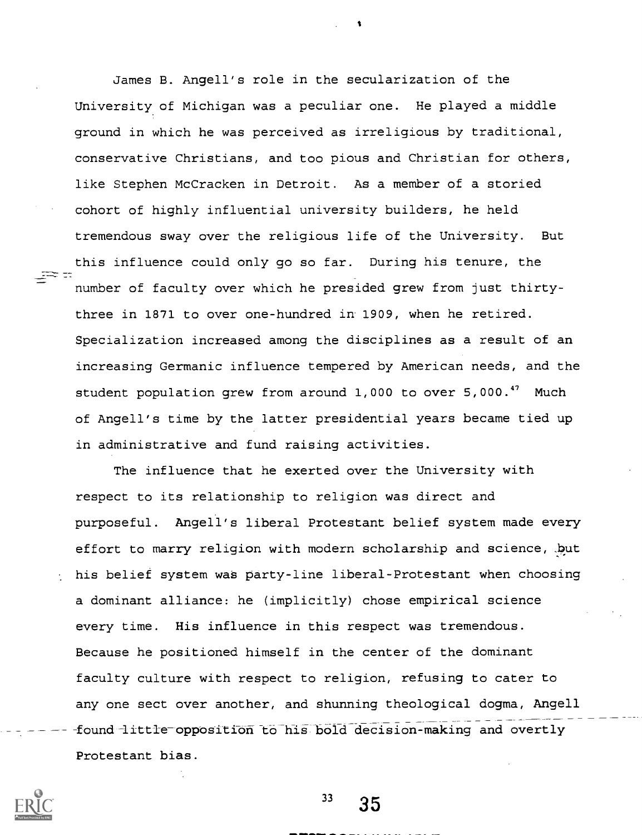James B. Angell's role in the secularization of the University of Michigan was a peculiar one. He played a middle ground in which he was perceived as irreligious by traditional, conservative Christians, and too pious and Christian for others, like Stephen McCracken in Detroit. As a member of a storied cohort of highly influential university builders, he held tremendous sway over the religious life of the University. But this influence could only go so far. During his tenure, the number of faculty over which he presided grew from just thirtythree in 1871 to over one-hundred in 1909, when he retired. Specialization increased among the disciplines as a result of an increasing Germanic influence tempered by American needs, and the student population grew from around 1,000 to over 5,000.<sup>47</sup> Much of Angell's time by the latter presidential years became tied up in administrative and fund raising activities.

The influence that he exerted over the University with respect to its relationship to religion was direct and purposeful. Angell's liberal Protestant belief system made every effort to marry religion with modern scholarship and science, .but his belief system was party-line liberal-Protestant when choosing a dominant alliance: he (implicitly) chose empirical science every time. His influence in this respect was tremendous. Because he positioned himself in the center of the dominant faculty culture with respect to religion, refusing to cater to any one sect over another, and shunning theological dogma, Angell found little opposition to his bold decision-making and overtly Protestant bias.



 $33 \quad 35$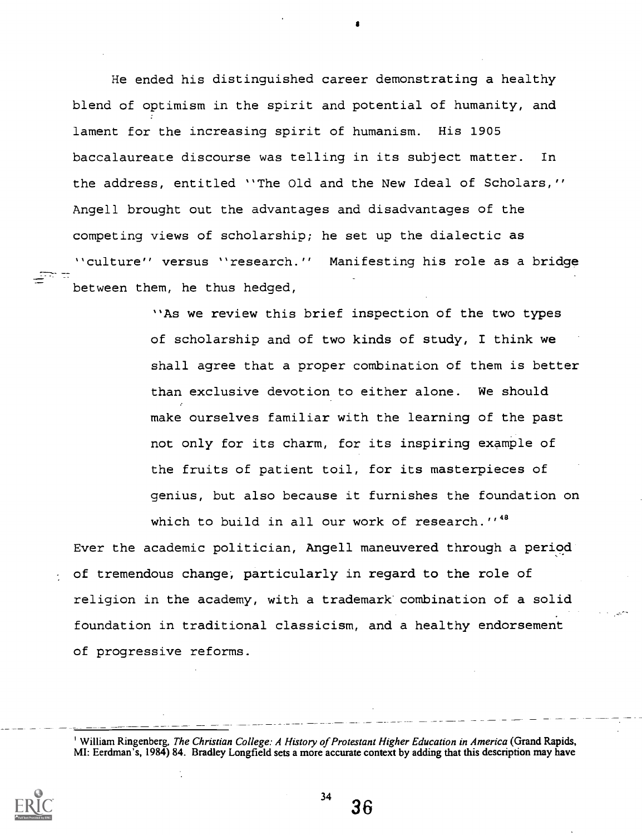He ended his distinguished career demonstrating a healthy blend of optimism in the spirit and potential of humanity, and lament for the increasing spirit of humanism. His 1905 baccalaureate discourse was telling in its subject matter. In the address, entitled "The Old and the New Ideal of Scholars," Angell brought out the advantages and disadvantages of the competing views of scholarship; he set up the dialectic as "culture" versus "research." Manifesting his role as a bridge between them, he thus hedged,

> "As we review this brief inspection of the two types of scholarship and of two kinds of study, I think we shall agree that a proper combination of them is better than exclusive devotion to either alone. We should make ourselves familiar with the learning of the past not only for its charm, for its inspiring example of the fruits of patient toil, for its masterpieces of genius, but also because it furnishes the foundation on which to build in all our work of research."<sup>48</sup>

Ever the academic politician, Angell maneuvered through a period of tremendous change, particularly in regard to the role of religion in the academy, with a trademark combination of a solid foundation in traditional classicism, and a healthy endorsement of progressive reforms.

<sup>'</sup> William Ringenberg, The Christian College: A History of Protestant Higher Education in America (Grand Rapids, MI: Eerdman's, 1984) 84. Bradley Longfield sets a more accurate context by adding that this description may have



36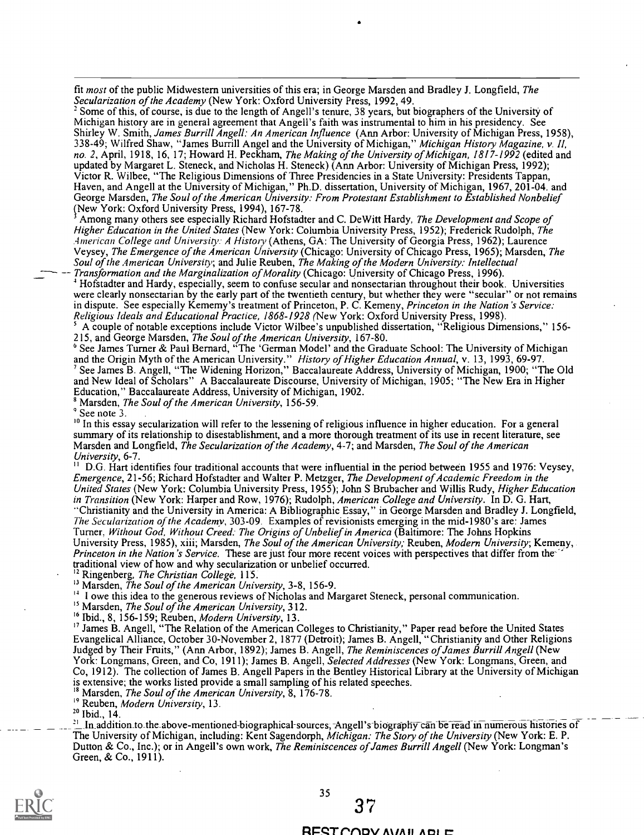fit most of the public Midwestern universities of this era; in George Marsden and Bradley J. Longfield, The Secularization of the Academy (New York: Oxford University Press, 1992, 49.

= Some of this, of course, is due to the length of Angell's tenure, 38 years, but biographers of the University of Michigan history are in general agreement that Angell's faith was instrumental to him in his presidency. See Shirley W. Smith, James Burrill Angell: An American Influence (Ann Arbor: University of Michigan Press, 1958), 338-49; Wilfred Shaw, "James Burrill Angel and the University of Michigan," *Michigan History Magazine, v. II,* no. 2, April, 1918, 16, 17; Howard H. Peckham, *The Making of the University of Michigan, 1817-1992* (edited and updated by Margaret L. Steneck, and Nicholas H. Steneck) (Ann Arbor: University of Michigan Press, 1992); Victor R. Wilbee, "The Religious Dimensions of Three Presidencies in a State University: Presidents Tappan, Haven, and Angell at the University of Michigan," Ph.D. dissertation, University of Michigan, 1967, 201-04. and George Marsden, The Soul of the American University: From Protestant Establishment to Established Nonbelief (New York: Oxford University Press, 1994), 167-78.

Among many others see especially Richard Hofstadter and C. DeWitt Hardy, The Development and Scope of Higher Education in the United States (New York: Columbia University Press, 1952); Frederick Rudolph, The American College and University: A History (Athens, GA: The University of Georgia Press, 1962); Laurence Veysey, The Emergence of the American University (Chicago: University of Chicago Press, 1965); Marsden, The Soul of the American University; and Julie Reuben, The Making of the Modern University: Intellectual Transformation and the Marginalization of Morality (Chicago: University of Chicago Press, 1996).

<sup>4</sup> Hofstadter and Hardy, especially, seem to confuse secular and nonsectarian throughout their book. Universities were clearly nonsectarian by the early part of the twentieth century, but whether they were "secular" or not remains in dispute. See especially Kememy's treatment of Princeton, P. C. Kemeny, Princeton in the Nation's Service: Religious Ideals and Educational Practice, 1868-1928 (New York: Oxford University Press, 1998).

5 A couple of notable exceptions include Victor Wilbee's unpublished dissertation, "Religious Dimensions," 156- 215, and George Marsden, The Soul of the American University, 167-80.

<sup>6</sup> See James Turner & Paul Bernard, "The 'German Model' and the Graduate School: The University of Michigan and the Origin Myth of the American University." *History of Higher Education Annual*, v. 13, 1993, 69-97. See James B. Angell, "The Widening Horizon," Baccalaureate Address, University of Michigan, 1900; "The Old and New Ideal of Scholars" A Baccalaureate Discourse, University of Michigan, 1905; "The New Era in Higher Education," Baccalaureate Address, University of Michigan, 1902.

<sup>8</sup> Marsden, The Soul of the American University, 156-59.

 $^{\circ}$  See note 3.

<sup>10</sup> In this essay secularization will refer to the lessening of religious influence in higher education. For a general summary of its relationship to disestablishment, and a more thorough treatment of its use in recent literature, see Marsden and Longfield, The Secularization of the Academy, 4-7; and Marsden, The Soul of the American University, 6-7.

<sup>11</sup> D.G. Hart identifies four traditional accounts that were influential in the period between 1955 and 1976: Veysey, Emergence, 21-56; Richard Hofstadter and Walter P. Metzger, The Development of Academic Freedom in the United States (New York: Columbia University Press, 1955); John S Brubacher and Willis Rudy, Higher Education in Transition (New York: Harper and Row, 1976); Rudolph, American College and University. In D. G. Hart, "Christianity and the University in America: A Bibliographic Essay," in George Marsden and Bradley J. Longfield, The Secularization of the Academy, 303-09. Examples of revisionists emerging in the mid-1980's are: James Turner. Without God, Without Creed: The Origins of Unbelief in America (Baltimore: The Johns Hopkins University Press, 1985), xiii; Marsden, The Soul of the American University; Reuben, Modern University; Kemeny, Princeton in the Nation's Service. These are just four more recent voices with perspectives that differ from the traditional view of how and why secularization or unbelief occurred.<br><sup>12</sup> Ringenhere, *The Christian Call* 

Ringenberg, The Christian College, 115.

<sup>13</sup> Marsden, *The Soul of the American University*, 3-8, 156-9.

<sup>1</sup> I owe this idea to the generous reviews of Nicholas and Margaret Steneck, personal communication.

<sup>15</sup> Marsden, *The Soul of the American University*, 312.

 $16$  Ibid., 8, 156-159; Reuben, Modern University, 13.

<sup>17</sup> James B. Angell, "The Relation of the American Colleges to Christianity," Paper read before the United States Evangelical Alliance, October 30-November 2, 1877 (Detroit); James B. Angell, "Christianity and Other Religions Judged by Their Fruits," (Ann Arbor, 1892); James B. Angell, The Reminiscences of James Burrill Angell (New York: Longmans, Green, and Co, 1911); James B. Angell, Selected Addresses (New York: Longmans, Green, and Co, 1912). The collection of James B. Angell Papers in the Bentley Historical Library at the University of Michigan is extensive; the works listed provide a small sampling of his related speeches.

Marsden, The Soul of the American University, 8, 176-78.

<sup>19</sup> Reuben, Modern University, 13.

26 Ibid., 14.

<sup>21</sup> In addition to the above-mentioned-biographical-sources, Angell's biography can be read in numerous histories of The University of Michigan, including: Kent Sagendorph, Michigan: The Story of the University (New York: E. P. Dutton & Co., Inc.); or in Angell's own work, The Reminiscences of James Burrill Angell (New York: Longman's Green, & Co., 1911).



#### RESTOODV AVAILADIE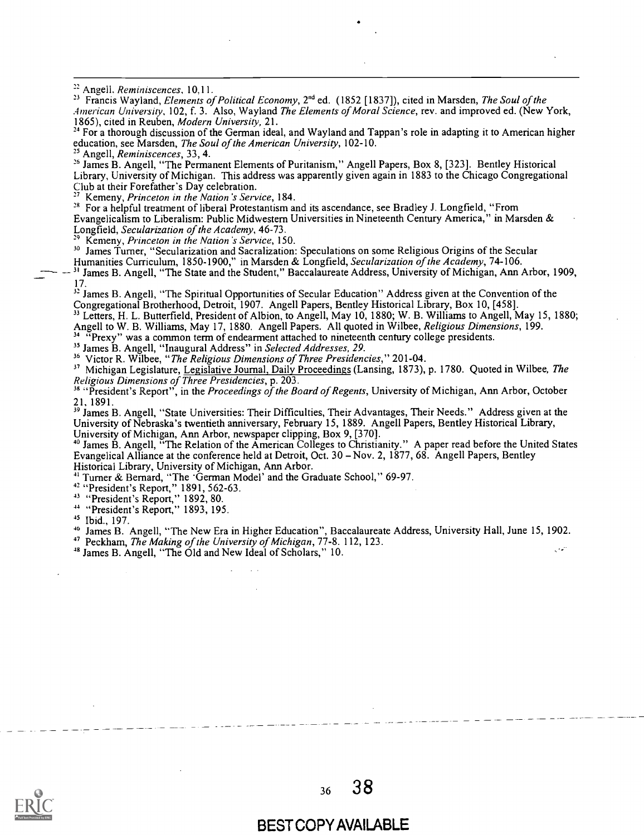<sup>23</sup> Francis Wayland, *Elements of Political Economy*, 2<sup>nd</sup> ed. (1852 [1837]), cited in Marsden, *The Soul of the* American University, 102, f. 3. Also, Wayland The Elements of Moral Science, rev. and improved ed. (New York, 1865), cited in Reuben, Modern University, 21.

<sup>24</sup> For a thorough discussion of the German ideal, and Wayland and Tappan's role in adapting it to American higher education, see Marsden, The Soul of the American University, 102-10.

<sup>25</sup> Angell, Reminiscences, 33, 4.

<sup>26</sup> James B. Angell, "The Permanent Elements of Puritanism," Angell Papers, Box 8, [323]. Bentley Historical Library, University of Michigan. This address was apparently given again in 1883 to the Chicago Congregational Club at their Forefather's Day celebration.

Kemeny, Princeton in the Nation's Service, 184.

<sup>28</sup> For a helpful treatment of liberal Protestantism and its ascendance, see Bradley J. Longfield, "From Evangelicalism to Liberalism: Public Midwestern Universities in Nineteenth Century America," in Marsden & Longfield, Secularization of the Academy, 46-73.

Kemeny, Princeton in the Nation 's Service, 150.

 $30$  James Turner, "Secularization and Sacralization: Speculations on some Religious Origins of the Secular

Humanities Curriculum, 1850-1900," in Marsden & Longfield, Secularization of the Academy, 74-106. 31 James B. Angell, "The State and the Student," Baccalaureate Address, University of Michigan, Ann Arbor, 1909, 17.

 $^{32}$  James B. Angell, "The Spiritual Opportunities of Secular Education" Address given at the Convention of the Congregational Brotherhood, Detroit, 1907. Angell Papers, Bentley Historical Library, Box 10, [458].

<sup>33</sup> Letters, H. L. Butterfield, President of Albion, to Angell, May 10, 1880; W. B. Williams to Angell, May 15, 1880; Angell to W. B. Williams, May 17, 1880. Angell Papers. All quoted in Wilbee, *Religious Dimensions*, 199.

"Prexy" was a common term of endearment attached to nineteenth century college presidents.

<sup>35</sup> James B. Angell, "Inaugural Address" in Selected Addresses, 29.

<sup>36</sup> Victor R. Wilbee, "The Religious Dimensions of Three Presidencies," 201-04.

<sup>37</sup> Michigan Legislature, Legislative Journal, Daily Proceedings (Lansing, 1873), p. 1780. Quoted in Wilbee, *The* Religious Dimensions of Three Presidencies, p. 203.

<sup>38</sup> "President's Report", in the Proceedings of the Board of Regents, University of Michigan, Ann Arbor, October 21, 1891.

<sup>39</sup> James B. Angell, "State Universities: Their Difficulties, Their Advantages, Their Needs." Address given at the University of Nebraska's twentieth anniversary, February 15, 1889. Angell Papers, Bentley Historical Library, University of Michigan, Ann Arbor, newspaper clipping, Box 9, [370].

James B. Angell, "The Relation of the American Colleges to Christianity." A paper read before the United States Evangelical Alliance at the conference held at Detroit, Oct. 30 – Nov. 2, 1877, 68. Angell Papers, Bentley Historical Library, University of Michigan, Ann Arbor.

Turner & Bernard, "The 'German Model' and the Graduate School," 69-97.

 $42$  "President's Report," 1891, 562-63.

<sup>43</sup> "President's Report," 1892, 80.

"President's Report," 1893, 195.

45 Ibid., 197.

James B. Angell, "The New Era in Higher Education", Baccalaureate Address, University Hall, June 15, 1902.

<sup>47</sup> Peckham, The Making of the University of Michigan, 77-8. 112, 123.

48 James B. Angell, "The Old and New Ideal of Scholars," 10.



<sup>36</sup> 38

## BEST COPY AVAILABLE

<sup>&</sup>lt;sup>22</sup> Angell. *Reminiscences*, 10,11.